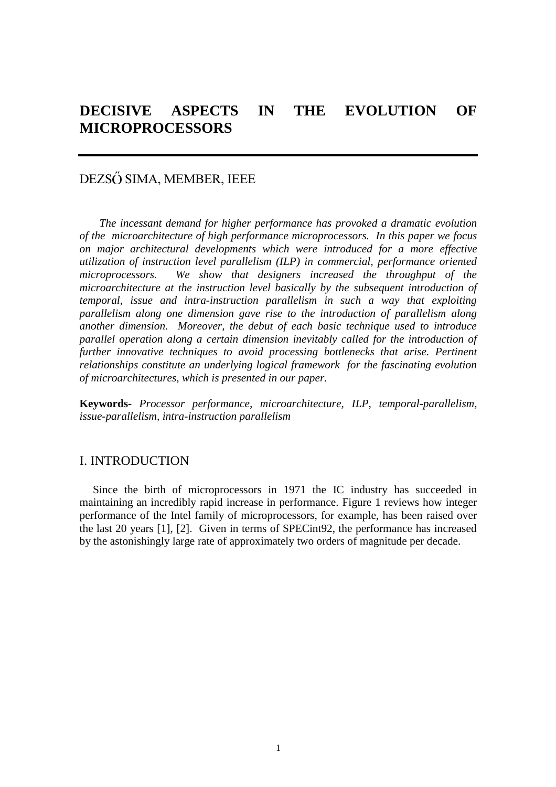# DEZSŐ SIMA, MEMBER, IEEE

*The incessant demand for higher performance has provoked a dramatic evolution of the microarchitecture of high performance microprocessors. In this paper we focus on major architectural developments which were introduced for a more effective utilization of instruction level parallelism (ILP) in commercial, performance oriented microprocessors. We show that designers increased the throughput of the microarchitecture at the instruction level basically by the subsequent introduction of temporal, issue and intra-instruction parallelism in such a way that exploiting parallelism along one dimension gave rise to the introduction of parallelism along another dimension. Moreover, the debut of each basic technique used to introduce parallel operation along a certain dimension inevitably called for the introduction of further innovative techniques to avoid processing bottlenecks that arise. Pertinent relationships constitute an underlying logical framework for the fascinating evolution of microarchitectures, which is presented in our paper.*

**Keywords-** *Processor performance, microarchitecture, ILP, temporal-parallelism, issue-parallelism, intra-instruction parallelism*

## I. INTRODUCTION

Since the birth of microprocessors in 1971 the IC industry has succeeded in maintaining an incredibly rapid increase in performance. Figure 1 reviews how integer performance of the Intel family of microprocessors, for example, has been raised over the last 20 years [1], [2]. Given in terms of SPECint92, the performance has increased by the astonishingly large rate of approximately two orders of magnitude per decade.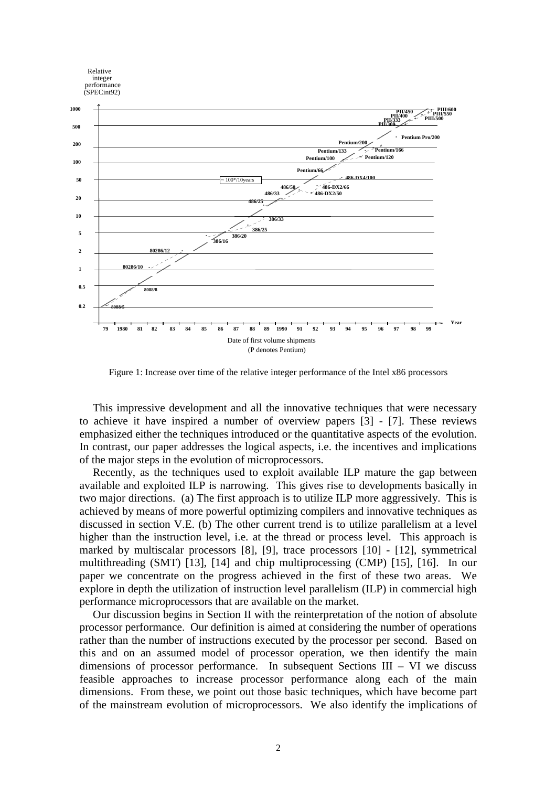

Figure 1: Increase over time of the relative integer performance of the Intel x86 processors

This impressive development and all the innovative techniques that were necessary to achieve it have inspired a number of overview papers [3] - [7]. These reviews emphasized either the techniques introduced or the quantitative aspects of the evolution. In contrast, our paper addresses the logical aspects, i.e. the incentives and implications of the major steps in the evolution of microprocessors.

Recently, as the techniques used to exploit available ILP mature the gap between available and exploited ILP is narrowing. This gives rise to developments basically in two major directions. (a) The first approach is to utilize ILP more aggressively. This is achieved by means of more powerful optimizing compilers and innovative techniques as discussed in section V.E. (b) The other current trend is to utilize parallelism at a level higher than the instruction level, i.e. at the thread or process level. This approach is marked by multiscalar processors [8], [9], trace processors [10] - [12], symmetrical multithreading (SMT) [13], [14] and chip multiprocessing (CMP) [15], [16]. In our paper we concentrate on the progress achieved in the first of these two areas. We explore in depth the utilization of instruction level parallelism (ILP) in commercial high performance microprocessors that are available on the market.

Our discussion begins in Section II with the reinterpretation of the notion of absolute processor performance. Our definition is aimed at considering the number of operations rather than the number of instructions executed by the processor per second. Based on this and on an assumed model of processor operation, we then identify the main dimensions of processor performance. In subsequent Sections III – VI we discuss feasible approaches to increase processor performance along each of the main dimensions. From these, we point out those basic techniques, which have become part of the mainstream evolution of microprocessors. We also identify the implications of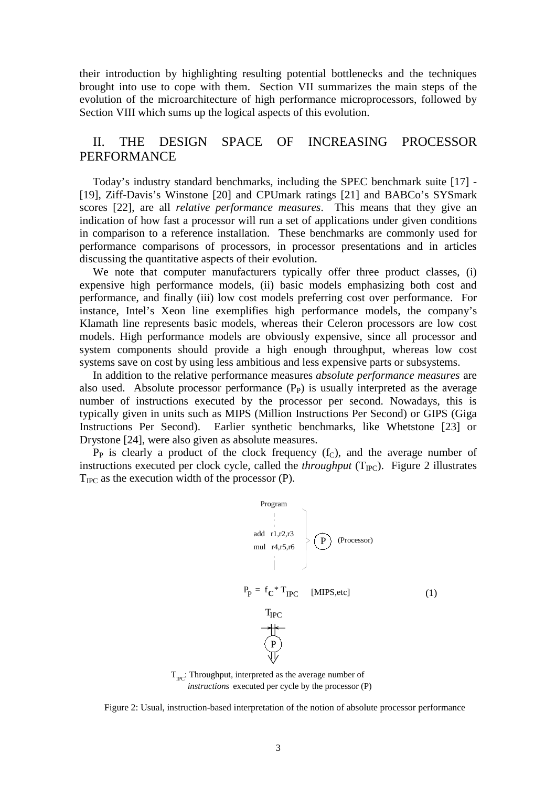their introduction by highlighting resulting potential bottlenecks and the techniques brought into use to cope with them. Section VII summarizes the main steps of the evolution of the microarchitecture of high performance microprocessors, followed by Section VIII which sums up the logical aspects of this evolution.

## II. THE DESIGN SPACE OF INCREASING PROCESSOR PERFORMANCE

Today's industry standard benchmarks, including the SPEC benchmark suite [17] - [19], Ziff-Davis's Winstone [20] and CPUmark ratings [21] and BABCo's SYSmark scores [22], are all *relative performance measures*. This means that they give an indication of how fast a processor will run a set of applications under given conditions in comparison to a reference installation. These benchmarks are commonly used for performance comparisons of processors, in processor presentations and in articles discussing the quantitative aspects of their evolution.

We note that computer manufacturers typically offer three product classes, (i) expensive high performance models, (ii) basic models emphasizing both cost and performance, and finally (iii) low cost models preferring cost over performance. For instance, Intel's Xeon line exemplifies high performance models, the company's Klamath line represents basic models, whereas their Celeron processors are low cost models. High performance models are obviously expensive, since all processor and system components should provide a high enough throughput, whereas low cost systems save on cost by using less ambitious and less expensive parts or subsystems.

In addition to the relative performance measures *absolute performance measures* are also used. Absolute processor performance  $(P_P)$  is usually interpreted as the average number of instructions executed by the processor per second. Nowadays, this is typically given in units such as MIPS (Million Instructions Per Second) or GIPS (Giga Instructions Per Second). Earlier synthetic benchmarks, like Whetstone [23] or Drystone [24], were also given as absolute measures.

 $P_P$  is clearly a product of the clock frequency  $(f_C)$ , and the average number of instructions executed per clock cycle, called the *throughput*  $(T_{\text{PC}})$ . Figure 2 illustrates  $T_{\text{IPC}}$  as the execution width of the processor (P).



 $T_{\text{pc}}$ : Throughput, interpreted as the average number of *instructions* executed per cycle by the processor (P)

Figure 2: Usual, instruction-based interpretation of the notion of absolute processor performance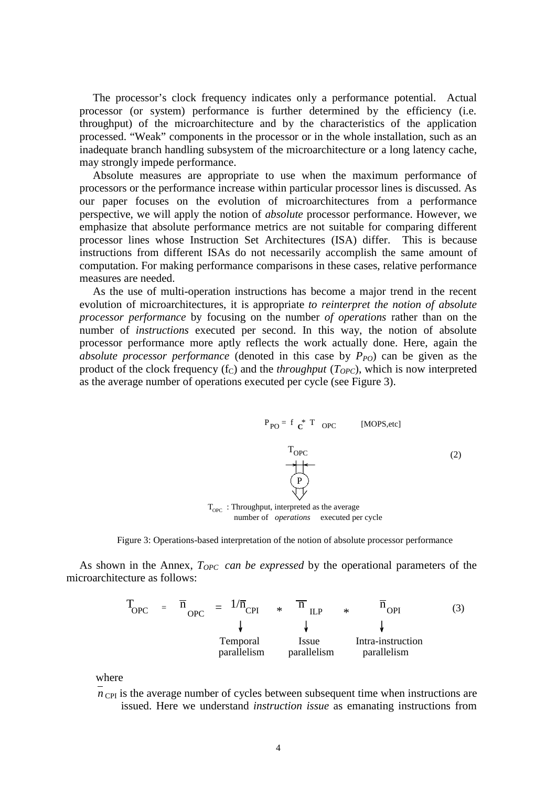The processor's clock frequency indicates only a performance potential. Actual processor (or system) performance is further determined by the efficiency (i.e. throughput) of the microarchitecture and by the characteristics of the application processed. "Weak" components in the processor or in the whole installation, such as an inadequate branch handling subsystem of the microarchitecture or a long latency cache, may strongly impede performance.

Absolute measures are appropriate to use when the maximum performance of processors or the performance increase within particular processor lines is discussed. As our paper focuses on the evolution of microarchitectures from a performance perspective, we will apply the notion of *absolute* processor performance. However, we emphasize that absolute performance metrics are not suitable for comparing different processor lines whose Instruction Set Architectures (ISA) differ. This is because instructions from different ISAs do not necessarily accomplish the same amount of computation. For making performance comparisons in these cases, relative performance measures are needed.

As the use of multi-operation instructions has become a major trend in the recent evolution of microarchitectures, it is appropriate *to reinterpret the notion of absolute processor performance* by focusing on the number *of operations* rather than on the number of *instructions* executed per second. In this way, the notion of absolute processor performance more aptly reflects the work actually done. Here, again the *absolute processor performance* (denoted in this case by  $P_{PO}$ ) can be given as the product of the clock frequency  $(f_C)$  and the *throughput*  $(T_{OPC})$ , which is now interpreted as the average number of operations executed per cycle (see Figure 3).

$$
P_{PO} = f \t C^* T \t OPC \t [MOPS, etc]
$$
\n
$$
T_{OPC}
$$
\n
$$
P
$$
\n
$$
P
$$
\n
$$
P
$$
\n
$$
P
$$
\n
$$
P
$$
\n
$$
P
$$
\n
$$
P
$$
\n
$$
P
$$
\n
$$
P
$$
\n
$$
P
$$
\n
$$
P
$$
\n
$$
P
$$
\n
$$
P
$$
\n
$$
P
$$
\n
$$
P
$$
\n
$$
P
$$
\n
$$
P
$$
\n
$$
P
$$
\n
$$
P
$$
\n
$$
P
$$
\n
$$
P
$$
\n
$$
P
$$
\n
$$
P
$$
\n
$$
P
$$
\n
$$
P
$$
\n
$$
P
$$
\n
$$
P
$$
\n
$$
P
$$
\n
$$
P
$$
\n
$$
P
$$
\n
$$
P
$$
\n
$$
P
$$
\n
$$
P
$$
\n
$$
P
$$
\n
$$
P
$$
\n
$$
P
$$
\n
$$
P
$$
\n
$$
P
$$
\n
$$
P
$$
\n
$$
P
$$
\n
$$
P
$$
\n
$$
P
$$
\n
$$
P
$$
\n
$$
P
$$
\n
$$
P
$$
\n
$$
P
$$
\n
$$
P
$$
\n
$$
P
$$
\n
$$
P
$$
\n
$$
P
$$
\n
$$
P
$$
\n
$$
P
$$
\n
$$
P
$$
\n
$$
P
$$
\n
$$
P
$$
\n
$$
P
$$
\n
$$
P
$$
\n
$$
P
$$
\n
$$
P
$$
\n
$$
P
$$
\n
$$
P
$$
\n
$$
P
$$
\n
$$
P
$$
\n
$$
P
$$
\n
$$
P
$$
\n

 $T_{OPC}$ : Throughput, interpreted as the average number of *operations* executed per cycle



As shown in the Annex, *TOPC can be expressed* by the operational parameters of the microarchitecture as follows:

> $T_{\text{OPC}}$  =  $\overline{n}_{\text{OPC}}$  =  $1/\overline{n}_{\text{CPI}}$  \*  $\overline{n}_{\text{ILP}}$  \*  $\overline{n}_{\text{OPI}}$  (3) Temporal parallelism Issue parallelism Intra-instruction parallelism

where

 $n_{\text{CPI}}$  is the average number of cycles between subsequent time when instructions are issued. Here we understand *instruction issue* as emanating instructions from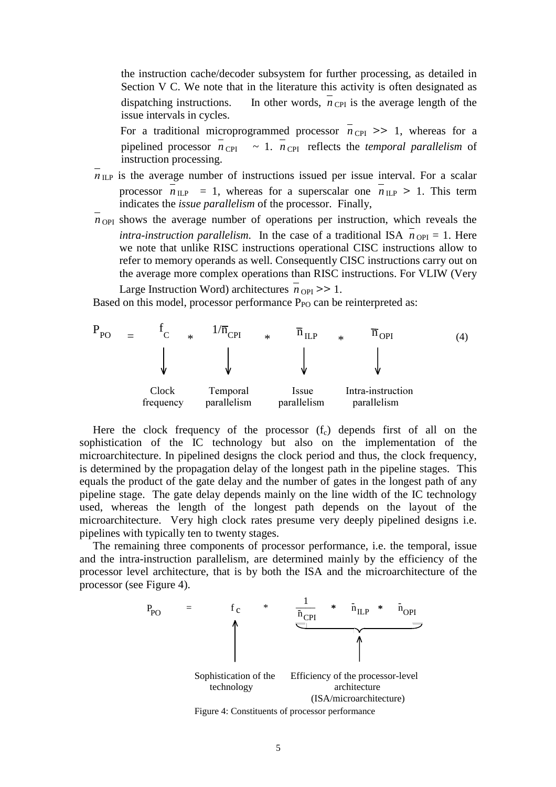the instruction cache/decoder subsystem for further processing, as detailed in Section V C. We note that in the literature this activity is often designated as dispatching instructions. In other words,  $\overline{n}_{\text{CPI}}$  is the average length of the issue intervals in cycles.

For a traditional microprogrammed processor  $n_{\text{CPI}} >> 1$ , whereas for a pipelined processor  $\overline{n}_{\text{CPI}} \sim 1$ .  $\overline{n}_{\text{CPI}}$  reflects the *temporal parallelism* of instruction processing.

- $\overline{\eta}_{\text{ILP}}$  is the average number of instructions issued per issue interval. For a scalar processor  $\overline{n}_{\text{ILP}}$  = 1, whereas for a superscalar one  $\overline{n}_{\text{ILP}}$  > 1. This term indicates the *issue parallelism* of the processor. Finally,
- $n_{\text{OPT}}$  shows the average number of operations per instruction, which reveals the *intra-instruction parallelism*. In the case of a traditional ISA  $\overline{n}_{\text{OPI}} = 1$ . Here we note that unlike RISC instructions operational CISC instructions allow to refer to memory operands as well. Consequently CISC instructions carry out on the average more complex operations than RISC instructions. For VLIW (Very Large Instruction Word) architectures  $n_{\text{OPI}} >> 1$ .

Based on this model, processor performance  $P_{PO}$  can be reinterpreted as:



Here the clock frequency of the processor  $(f_c)$  depends first of all on the sophistication of the IC technology but also on the implementation of the microarchitecture. In pipelined designs the clock period and thus, the clock frequency, is determined by the propagation delay of the longest path in the pipeline stages. This equals the product of the gate delay and the number of gates in the longest path of any pipeline stage. The gate delay depends mainly on the line width of the IC technology used, whereas the length of the longest path depends on the layout of the microarchitecture. Very high clock rates presume very deeply pipelined designs i.e. pipelines with typically ten to twenty stages.

The remaining three components of processor performance, i.e. the temporal, issue and the intra-instruction parallelism, are determined mainly by the efficiency of the processor level architecture, that is by both the ISA and the microarchitecture of the processor (see Figure 4).

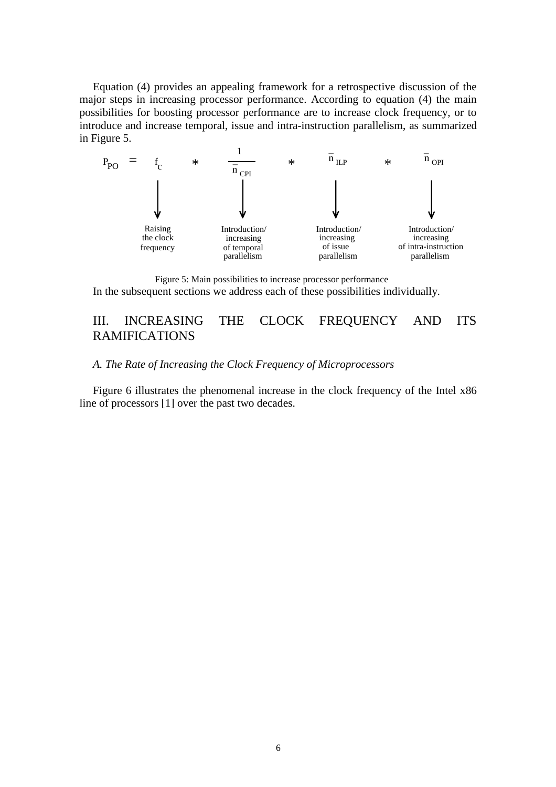Equation (4) provides an appealing framework for a retrospective discussion of the major steps in increasing processor performance. According to equation (4) the main possibilities for boosting processor performance are to increase clock frequency, or to introduce and increase temporal, issue and intra-instruction parallelism, as summarized in Figure 5.



Figure 5: Main possibilities to increase processor performance In the subsequent sections we address each of these possibilities individually.

## III. INCREASING THE CLOCK FREQUENCY AND ITS RAMIFICATIONS

### *A. The Rate of Increasing the Clock Frequency of Microprocessors*

Figure 6 illustrates the phenomenal increase in the clock frequency of the Intel x86 line of processors [1] over the past two decades.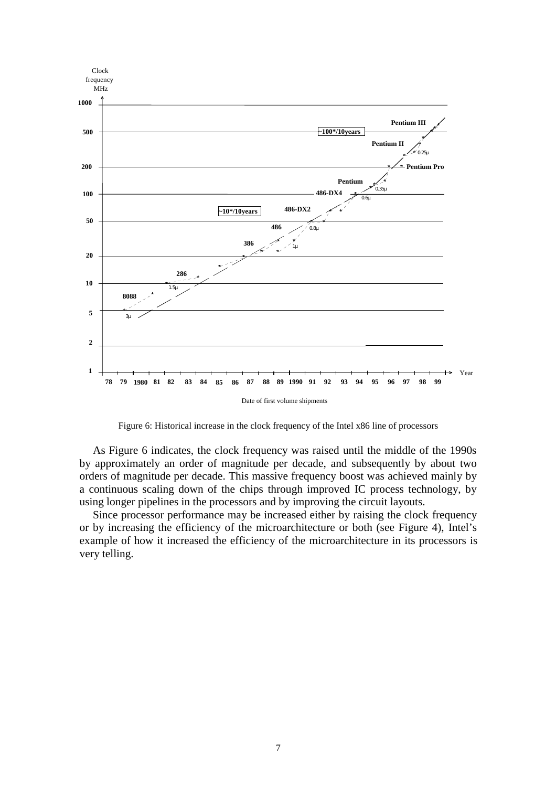

Figure 6: Historical increase in the clock frequency of the Intel x86 line of processors

As Figure 6 indicates, the clock frequency was raised until the middle of the 1990s by approximately an order of magnitude per decade, and subsequently by about two orders of magnitude per decade. This massive frequency boost was achieved mainly by a continuous scaling down of the chips through improved IC process technology, by using longer pipelines in the processors and by improving the circuit layouts.

Since processor performance may be increased either by raising the clock frequency or by increasing the efficiency of the microarchitecture or both (see Figure 4), Intel's example of how it increased the efficiency of the microarchitecture in its processors is very telling.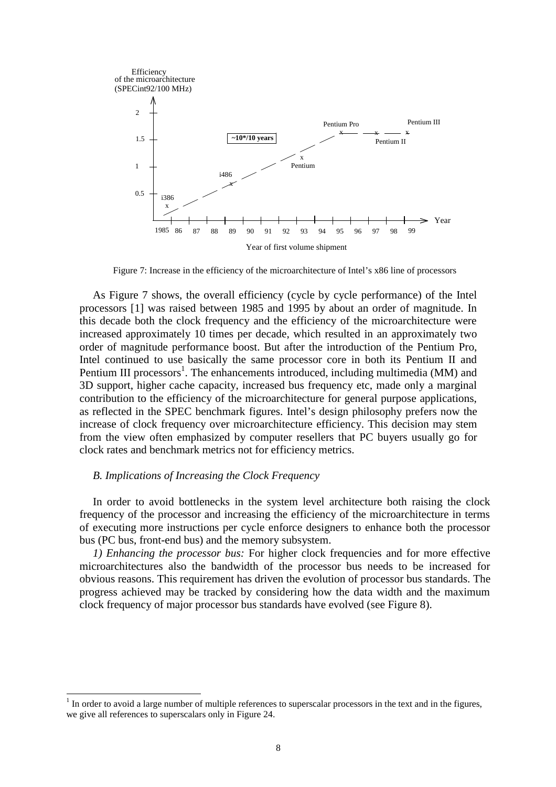

Figure 7: Increase in the efficiency of the microarchitecture of Intel's x86 line of processors

As Figure 7 shows, the overall efficiency (cycle by cycle performance) of the Intel processors [1] was raised between 1985 and 1995 by about an order of magnitude. In this decade both the clock frequency and the efficiency of the microarchitecture were increased approximately 10 times per decade, which resulted in an approximately two order of magnitude performance boost. But after the introduction of the Pentium Pro, Intel continued to use basically the same processor core in both its Pentium II and Pentium III processors<sup>1</sup>. The enhancements introduced, including multimedia (MM) and 3D support, higher cache capacity, increased bus frequency etc, made only a marginal contribution to the efficiency of the microarchitecture for general purpose applications, as reflected in the SPEC benchmark figures. Intel's design philosophy prefers now the increase of clock frequency over microarchitecture efficiency. This decision may stem from the view often emphasized by computer resellers that PC buyers usually go for clock rates and benchmark metrics not for efficiency metrics.

### *B. Implications of Increasing the Clock Frequency*

 $\overline{a}$ 

In order to avoid bottlenecks in the system level architecture both raising the clock frequency of the processor and increasing the efficiency of the microarchitecture in terms of executing more instructions per cycle enforce designers to enhance both the processor bus (PC bus, front-end bus) and the memory subsystem.

*1) Enhancing the processor bus:* For higher clock frequencies and for more effective microarchitectures also the bandwidth of the processor bus needs to be increased for obvious reasons. This requirement has driven the evolution of processor bus standards. The progress achieved may be tracked by considering how the data width and the maximum clock frequency of major processor bus standards have evolved (see Figure 8).

 $1$  In order to avoid a large number of multiple references to superscalar processors in the text and in the figures, we give all references to superscalars only in Figure 24.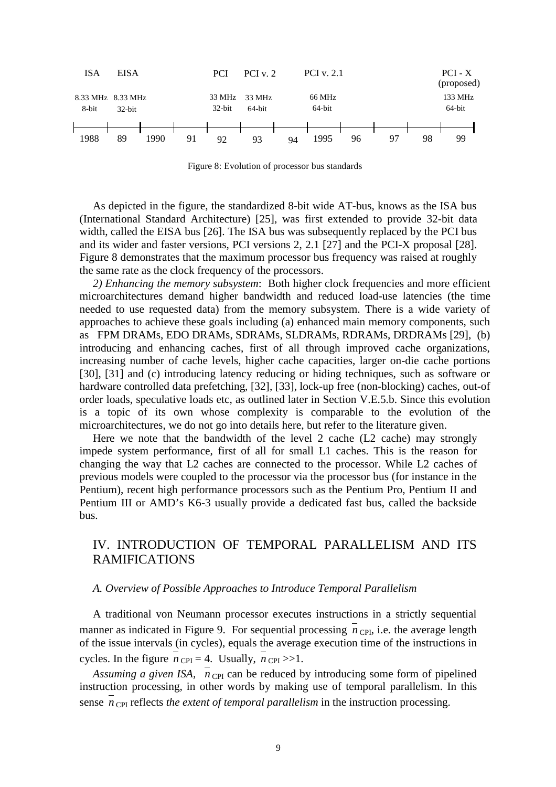

Figure 8: Evolution of processor bus standards

As depicted in the figure, the standardized 8-bit wide AT-bus, knows as the ISA bus (International Standard Architecture) [25], was first extended to provide 32-bit data width, called the EISA bus [26]. The ISA bus was subsequently replaced by the PCI bus and its wider and faster versions, PCI versions 2, 2.1 [27] and the PCI-X proposal [28]. Figure 8 demonstrates that the maximum processor bus frequency was raised at roughly the same rate as the clock frequency of the processors.

*2) Enhancing the memory subsystem*: Both higher clock frequencies and more efficient microarchitectures demand higher bandwidth and reduced load-use latencies (the time needed to use requested data) from the memory subsystem. There is a wide variety of approaches to achieve these goals including (a) enhanced main memory components, such as FPM DRAMs, EDO DRAMs, SDRAMs, SLDRAMs, RDRAMs, DRDRAMs [29], (b) introducing and enhancing caches, first of all through improved cache organizations, increasing number of cache levels, higher cache capacities, larger on-die cache portions [30], [31] and (c) introducing latency reducing or hiding techniques, such as software or hardware controlled data prefetching, [32], [33], lock-up free (non-blocking) caches, out-of order loads, speculative loads etc, as outlined later in Section V.E.5.b. Since this evolution is a topic of its own whose complexity is comparable to the evolution of the microarchitectures, we do not go into details here, but refer to the literature given.

Here we note that the bandwidth of the level 2 cache (L2 cache) may strongly impede system performance, first of all for small L1 caches. This is the reason for changing the way that L2 caches are connected to the processor. While L2 caches of previous models were coupled to the processor via the processor bus (for instance in the Pentium), recent high performance processors such as the Pentium Pro, Pentium II and Pentium III or AMD's K6-3 usually provide a dedicated fast bus, called the backside bus.

# IV. INTRODUCTION OF TEMPORAL PARALLELISM AND ITS RAMIFICATIONS

### *A. Overview of Possible Approaches to Introduce Temporal Parallelism*

A traditional von Neumann processor executes instructions in a strictly sequential manner as indicated in Figure 9. For sequential processing  $\overline{n}_{\text{CPI}}$ , i.e. the average length of the issue intervals (in cycles), equals the average execution time of the instructions in cycles. In the figure  $n_{\text{CPI}} = 4$ . Usually,  $n_{\text{CPI}} >> 1$ .

*Assuming a given ISA,*  $n_{\text{CPI}}$  can be reduced by introducing some form of pipelined instruction processing, in other words by making use of temporal parallelism. In this sense  $\bar{n}_{\text{CPI}}$  reflects *the extent of temporal parallelism* in the instruction processing.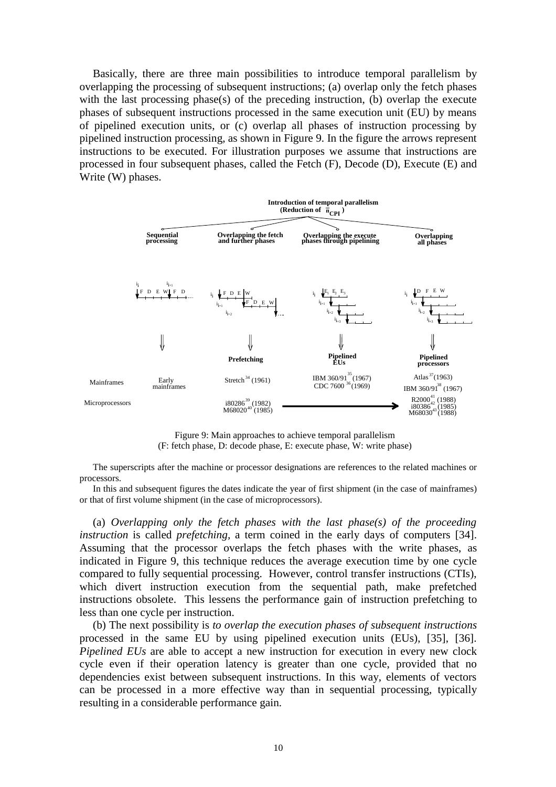Basically, there are three main possibilities to introduce temporal parallelism by overlapping the processing of subsequent instructions; (a) overlap only the fetch phases with the last processing phase(s) of the preceding instruction, (b) overlap the execute phases of subsequent instructions processed in the same execution unit (EU) by means of pipelined execution units, or (c) overlap all phases of instruction processing by pipelined instruction processing, as shown in Figure 9. In the figure the arrows represent instructions to be executed. For illustration purposes we assume that instructions are processed in four subsequent phases, called the Fetch (F), Decode (D), Execute (E) and Write (W) phases.



Figure 9: Main approaches to achieve temporal parallelism (F: fetch phase, D: decode phase, E: execute phase, W: write phase)

The superscripts after the machine or processor designations are references to the related machines or processors.

In this and subsequent figures the dates indicate the year of first shipment (in the case of mainframes) or that of first volume shipment (in the case of microprocessors).

(a) *Overlapping only the fetch phases with the last phase(s) of the proceeding instruction* is called *prefetching*, a term coined in the early days of computers [34]. Assuming that the processor overlaps the fetch phases with the write phases, as indicated in Figure 9, this technique reduces the average execution time by one cycle compared to fully sequential processing. However, control transfer instructions (CTIs), which divert instruction execution from the sequential path, make prefetched instructions obsolete. This lessens the performance gain of instruction prefetching to less than one cycle per instruction.

(b) The next possibility is *to overlap the execution phases of subsequent instructions* processed in the same EU by using pipelined execution units (EUs), [35], [36]. *Pipelined EUs* are able to accept a new instruction for execution in every new clock cycle even if their operation latency is greater than one cycle, provided that no dependencies exist between subsequent instructions. In this way, elements of vectors can be processed in a more effective way than in sequential processing, typically resulting in a considerable performance gain.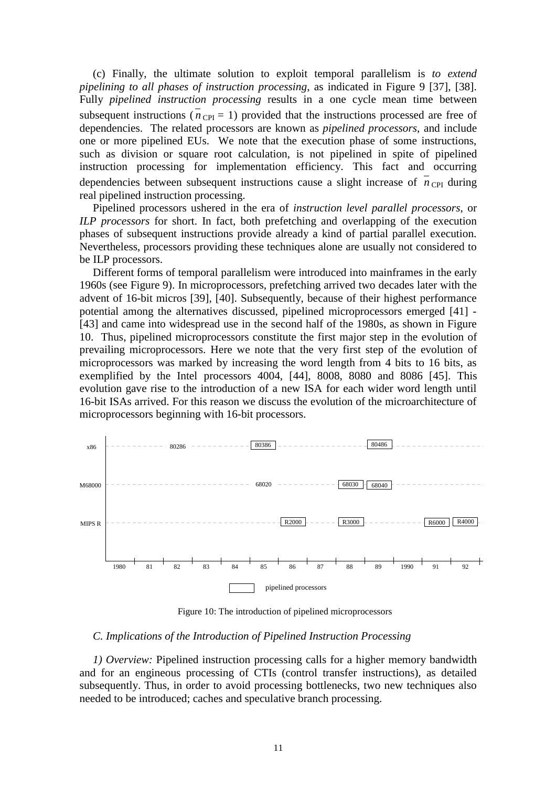(c) Finally, the ultimate solution to exploit temporal parallelism is *to extend pipelining to all phases of instruction processing*, as indicated in Figure 9 [37], [38]. Fully *pipelined instruction processing* results in a one cycle mean time between subsequent instructions ( $n_{\text{CPI}} = 1$ ) provided that the instructions processed are free of dependencies. The related processors are known as *pipelined processors*, and include one or more pipelined EUs. We note that the execution phase of some instructions, such as division or square root calculation, is not pipelined in spite of pipelined instruction processing for implementation efficiency. This fact and occurring dependencies between subsequent instructions cause a slight increase of  $\overline{n}_{\text{CPI}}$  during real pipelined instruction processing.

Pipelined processors ushered in the era of *instruction level parallel processors*, or *ILP processors* for short. In fact, both prefetching and overlapping of the execution phases of subsequent instructions provide already a kind of partial parallel execution. Nevertheless, processors providing these techniques alone are usually not considered to be ILP processors.

Different forms of temporal parallelism were introduced into mainframes in the early 1960s (see Figure 9). In microprocessors, prefetching arrived two decades later with the advent of 16-bit micros [39], [40]. Subsequently, because of their highest performance potential among the alternatives discussed, pipelined microprocessors emerged [41] - [43] and came into widespread use in the second half of the 1980s, as shown in Figure 10. Thus, pipelined microprocessors constitute the first major step in the evolution of prevailing microprocessors. Here we note that the very first step of the evolution of microprocessors was marked by increasing the word length from 4 bits to 16 bits, as exemplified by the Intel processors 4004, [44], 8008, 8080 and 8086 [45]. This evolution gave rise to the introduction of a new ISA for each wider word length until 16-bit ISAs arrived. For this reason we discuss the evolution of the microarchitecture of microprocessors beginning with 16-bit processors.



Figure 10: The introduction of pipelined microprocessors

### *C. Implications of the Introduction of Pipelined Instruction Processing*

*1) Overview:* Pipelined instruction processing calls for a higher memory bandwidth and for an engineous processing of CTIs (control transfer instructions), as detailed subsequently. Thus, in order to avoid processing bottlenecks, two new techniques also needed to be introduced; caches and speculative branch processing.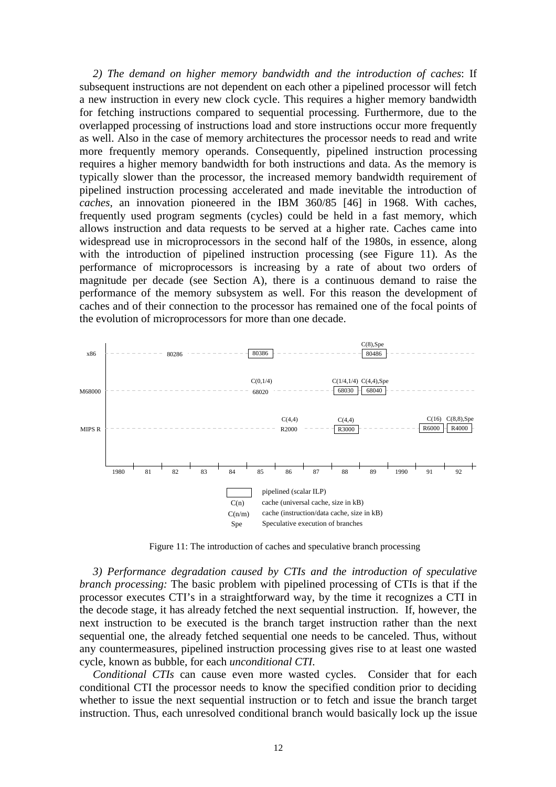*2) The demand on higher memory bandwidth and the introduction of caches*: If subsequent instructions are not dependent on each other a pipelined processor will fetch a new instruction in every new clock cycle. This requires a higher memory bandwidth for fetching instructions compared to sequential processing. Furthermore, due to the overlapped processing of instructions load and store instructions occur more frequently as well. Also in the case of memory architectures the processor needs to read and write more frequently memory operands. Consequently, pipelined instruction processing requires a higher memory bandwidth for both instructions and data. As the memory is typically slower than the processor, the increased memory bandwidth requirement of pipelined instruction processing accelerated and made inevitable the introduction of *caches,* an innovation pioneered in the IBM 360/85 [46] in 1968. With caches, frequently used program segments (cycles) could be held in a fast memory, which allows instruction and data requests to be served at a higher rate. Caches came into widespread use in microprocessors in the second half of the 1980s, in essence, along with the introduction of pipelined instruction processing (see Figure 11). As the performance of microprocessors is increasing by a rate of about two orders of magnitude per decade (see Section A), there is a continuous demand to raise the performance of the memory subsystem as well. For this reason the development of caches and of their connection to the processor has remained one of the focal points of the evolution of microprocessors for more than one decade.



Figure 11: The introduction of caches and speculative branch processing

*3) Performance degradation caused by CTIs and the introduction of speculative branch processing:* The basic problem with pipelined processing of CTIs is that if the processor executes CTI's in a straightforward way, by the time it recognizes a CTI in the decode stage, it has already fetched the next sequential instruction. If, however, the next instruction to be executed is the branch target instruction rather than the next sequential one, the already fetched sequential one needs to be canceled. Thus, without any countermeasures, pipelined instruction processing gives rise to at least one wasted cycle, known as bubble, for each *unconditional CTI*.

*Conditional CTIs* can cause even more wasted cycles. Consider that for each conditional CTI the processor needs to know the specified condition prior to deciding whether to issue the next sequential instruction or to fetch and issue the branch target instruction. Thus, each unresolved conditional branch would basically lock up the issue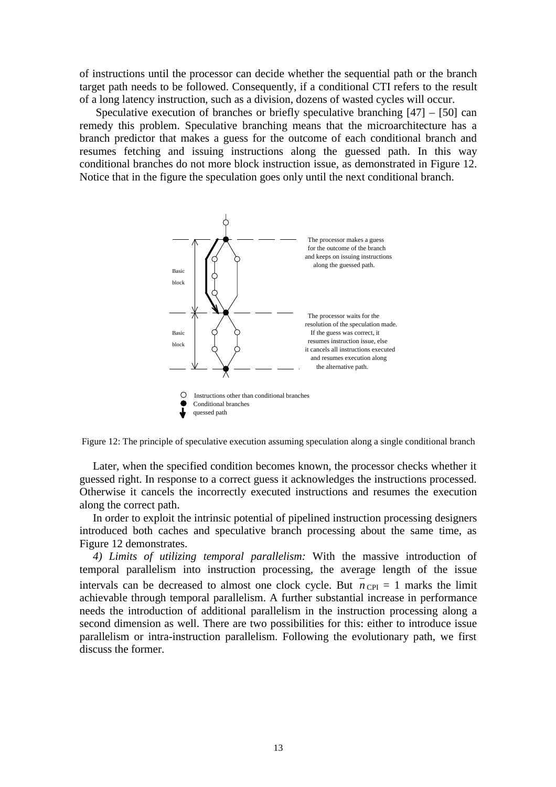of instructions until the processor can decide whether the sequential path or the branch target path needs to be followed. Consequently, if a conditional CTI refers to the result of a long latency instruction, such as a division, dozens of wasted cycles will occur.

 Speculative execution of branches or briefly speculative branching [47] – [50] can remedy this problem. Speculative branching means that the microarchitecture has a branch predictor that makes a guess for the outcome of each conditional branch and resumes fetching and issuing instructions along the guessed path. In this way conditional branches do not more block instruction issue, as demonstrated in Figure 12. Notice that in the figure the speculation goes only until the next conditional branch.



Figure 12: The principle of speculative execution assuming speculation along a single conditional branch

Later, when the specified condition becomes known, the processor checks whether it guessed right. In response to a correct guess it acknowledges the instructions processed. Otherwise it cancels the incorrectly executed instructions and resumes the execution along the correct path.

In order to exploit the intrinsic potential of pipelined instruction processing designers introduced both caches and speculative branch processing about the same time, as Figure 12 demonstrates.

*4) Limits of utilizing temporal parallelism:* With the massive introduction of temporal parallelism into instruction processing, the average length of the issue intervals can be decreased to almost one clock cycle. But  $n_{\text{CPI}} = 1$  marks the limit achievable through temporal parallelism. A further substantial increase in performance needs the introduction of additional parallelism in the instruction processing along a second dimension as well. There are two possibilities for this: either to introduce issue parallelism or intra-instruction parallelism. Following the evolutionary path, we first discuss the former.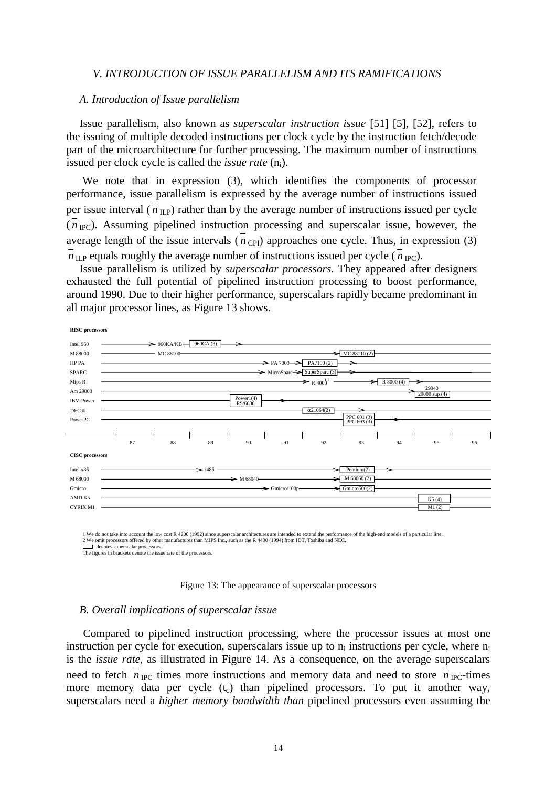### *V. INTRODUCTION OF ISSUE PARALLELISM AND ITS RAMIFICATIONS*

### *A. Introduction of Issue parallelism*

Issue parallelism, also known as *superscalar instruction issue* [51] [5], [52], refers to the issuing of multiple decoded instructions per clock cycle by the instruction fetch/decode part of the microarchitecture for further processing. The maximum number of instructions issued per clock cycle is called the *issue rate* (n<sub>i</sub>).

 We note that in expression (3), which identifies the components of processor performance, issue parallelism is expressed by the average number of instructions issued per issue interval ( $n_{\text{ILP}}$ ) rather than by the average number of instructions issued per cycle  $(n_{\rm{PC}})$ . Assuming pipelined instruction processing and superscalar issue, however, the average length of the issue intervals  $\overline{(n_{\text{CPI}})}$  approaches one cycle. Thus, in expression (3)  $n_{\text{ILP}}$  equals roughly the average number of instructions issued per cycle ( $n_{\text{IPC}}$ ).

Issue parallelism is utilized by *superscalar processors*. They appeared after designers exhausted the full potential of pipelined instruction processing to boost performance, around 1990. Due to their higher performance, superscalars rapidly became predominant in all major processor lines, as Figure 13 shows.



1 We do not take into account the low cost R 4200 (1992) since superscalar architectures are intended to extend the performance of the high-end models of a particular line.<br>2 We omit processors offered by other manufacture 2 We omit processors offered by other manufactures than MIPS Inc., such as the R 4400 (1994) from IDT, Toshiba denotes superscalar processors.

The figures in brackets denote the issue rate of the processors.



#### *B. Overall implications of superscalar issue*

Compared to pipelined instruction processing, where the processor issues at most one instruction per cycle for execution, superscalars issue up to  $n_i$  instructions per cycle, where  $n_i$ is the *issue rate*, as illustrated in Figure 14. As a consequence, on the average superscalars need to fetch  $n_{\text{IPC}}$  times more instructions and memory data and need to store  $n_{\text{IPC}}$ -times more memory data per cycle  $(t_c)$  than pipelined processors. To put it another way, superscalars need a *higher memory bandwidth than* pipelined processors even assuming the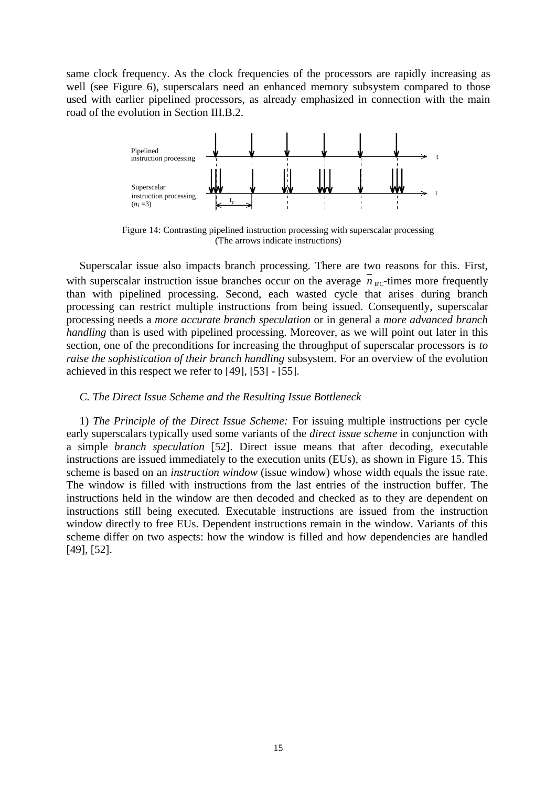same clock frequency. As the clock frequencies of the processors are rapidly increasing as well (see Figure 6), superscalars need an enhanced memory subsystem compared to those used with earlier pipelined processors, as already emphasized in connection with the main road of the evolution in Section III.B.2.



Figure 14: Contrasting pipelined instruction processing with superscalar processing (The arrows indicate instructions)

Superscalar issue also impacts branch processing. There are two reasons for this. First, with superscalar instruction issue branches occur on the average  $n_{\text{PC}}$ -times more frequently than with pipelined processing. Second, each wasted cycle that arises during branch processing can restrict multiple instructions from being issued. Consequently, superscalar processing needs a *more accurate branch speculation* or in general a *more advanced branch handling* than is used with pipelined processing. Moreover, as we will point out later in this section, one of the preconditions for increasing the throughput of superscalar processors is *to raise the sophistication of their branch handling* subsystem. For an overview of the evolution achieved in this respect we refer to [49], [53] - [55].

### *C. The Direct Issue Scheme and the Resulting Issue Bottleneck*

1) *The Principle of the Direct Issue Scheme:* For issuing multiple instructions per cycle early superscalars typically used some variants of the *direct issue scheme* in conjunction with a simple *branch speculation* [52]. Direct issue means that after decoding, executable instructions are issued immediately to the execution units (EUs), as shown in Figure 15. This scheme is based on an *instruction window* (issue window) whose width equals the issue rate. The window is filled with instructions from the last entries of the instruction buffer. The instructions held in the window are then decoded and checked as to they are dependent on instructions still being executed. Executable instructions are issued from the instruction window directly to free EUs. Dependent instructions remain in the window. Variants of this scheme differ on two aspects: how the window is filled and how dependencies are handled [49], [52].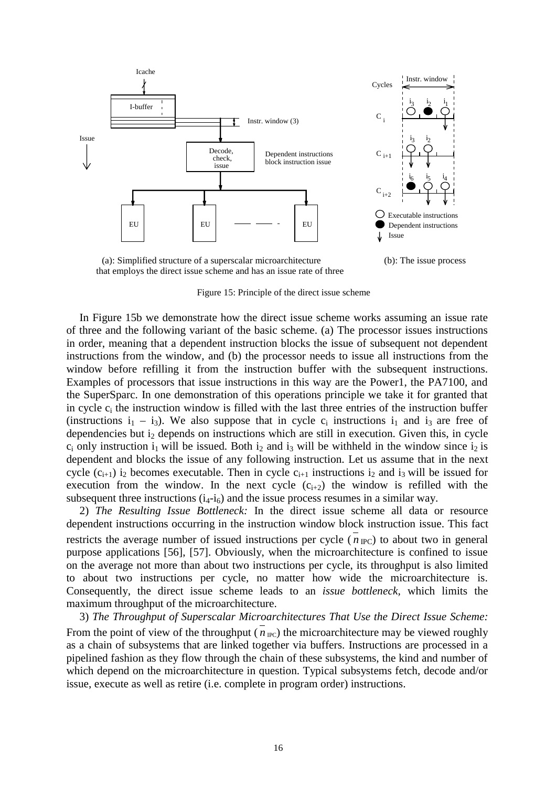

(a): Simplified structure of a superscalar microarchitecture (b): The issue process that employs the direct issue scheme and has an issue rate of three

Figure 15: Principle of the direct issue scheme

In Figure 15b we demonstrate how the direct issue scheme works assuming an issue rate of three and the following variant of the basic scheme. (a) The processor issues instructions in order, meaning that a dependent instruction blocks the issue of subsequent not dependent instructions from the window, and (b) the processor needs to issue all instructions from the window before refilling it from the instruction buffer with the subsequent instructions. Examples of processors that issue instructions in this way are the Power1, the PA7100, and the SuperSparc. In one demonstration of this operations principle we take it for granted that in cycle  $c_i$  the instruction window is filled with the last three entries of the instruction buffer (instructions  $i_1 - i_3$ ). We also suppose that in cycle  $c_i$  instructions  $i_1$  and  $i_3$  are free of dependencies but  $i_2$  depends on instructions which are still in execution. Given this, in cycle  $c_i$  only instruction  $i_1$  will be issued. Both  $i_2$  and  $i_3$  will be withheld in the window since  $i_2$  is dependent and blocks the issue of any following instruction. Let us assume that in the next cycle  $(c_{i+1})$  i<sub>2</sub> becomes executable. Then in cycle  $c_{i+1}$  instructions i<sub>2</sub> and i<sub>3</sub> will be issued for execution from the window. In the next cycle  $(c_{i+2})$  the window is refilled with the subsequent three instructions  $(i_4-i_6)$  and the issue process resumes in a similar way.

2) *The Resulting Issue Bottleneck:* In the direct issue scheme all data or resource dependent instructions occurring in the instruction window block instruction issue. This fact restricts the average number of issued instructions per cycle ( $n_{\text{IPC}}$ ) to about two in general purpose applications [56], [57]. Obviously, when the microarchitecture is confined to issue on the average not more than about two instructions per cycle, its throughput is also limited to about two instructions per cycle, no matter how wide the microarchitecture is. Consequently, the direct issue scheme leads to an *issue bottleneck,* which limits the maximum throughput of the microarchitecture.

3) *The Throughput of Superscalar Microarchitectures That Use the Direct Issue Scheme:* From the point of view of the throughput ( $n_{\text{PC}}$ ) the microarchitecture may be viewed roughly as a chain of subsystems that are linked together via buffers. Instructions are processed in a pipelined fashion as they flow through the chain of these subsystems, the kind and number of which depend on the microarchitecture in question. Typical subsystems fetch, decode and/or issue, execute as well as retire (i.e. complete in program order) instructions.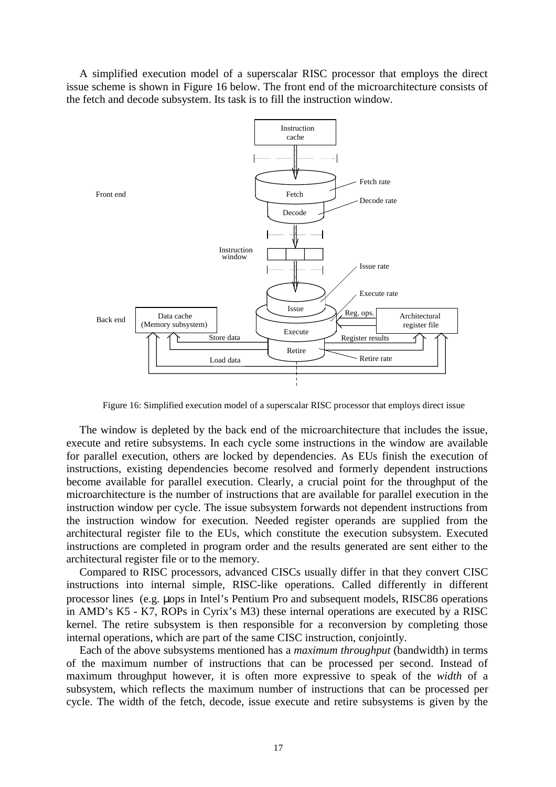A simplified execution model of a superscalar RISC processor that employs the direct issue scheme is shown in Figure 16 below. The front end of the microarchitecture consists of the fetch and decode subsystem. Its task is to fill the instruction window.



Figure 16: Simplified execution model of a superscalar RISC processor that employs direct issue

The window is depleted by the back end of the microarchitecture that includes the issue, execute and retire subsystems. In each cycle some instructions in the window are available for parallel execution, others are locked by dependencies. As EUs finish the execution of instructions, existing dependencies become resolved and formerly dependent instructions become available for parallel execution. Clearly, a crucial point for the throughput of the microarchitecture is the number of instructions that are available for parallel execution in the instruction window per cycle. The issue subsystem forwards not dependent instructions from the instruction window for execution. Needed register operands are supplied from the architectural register file to the EUs, which constitute the execution subsystem. Executed instructions are completed in program order and the results generated are sent either to the architectural register file or to the memory.

Compared to RISC processors, advanced CISCs usually differ in that they convert CISC instructions into internal simple, RISC-like operations. Called differently in different processor lines (e.g. µops in Intel's Pentium Pro and subsequent models, RISC86 operations in AMD's K5 - K7, ROPs in Cyrix's M3) these internal operations are executed by a RISC kernel. The retire subsystem is then responsible for a reconversion by completing those internal operations, which are part of the same CISC instruction, conjointly.

Each of the above subsystems mentioned has a *maximum throughput* (bandwidth) in terms of the maximum number of instructions that can be processed per second. Instead of maximum throughput however, it is often more expressive to speak of the *width* of a subsystem, which reflects the maximum number of instructions that can be processed per cycle. The width of the fetch, decode, issue execute and retire subsystems is given by the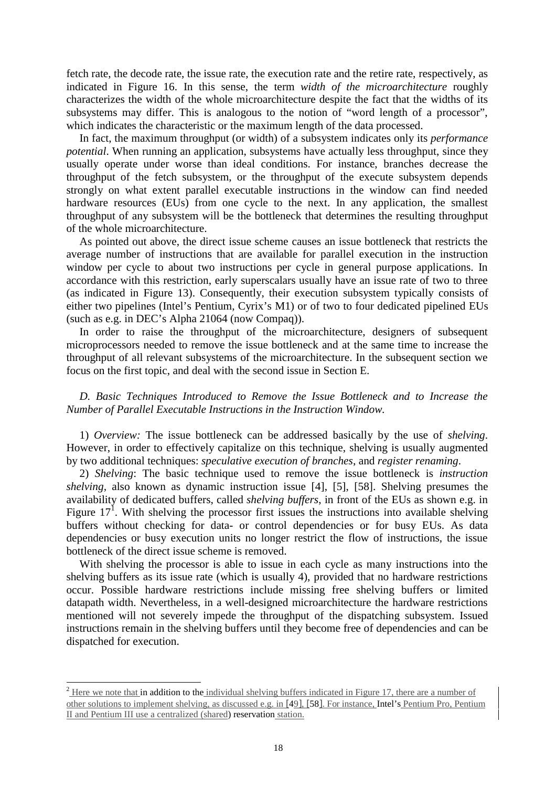fetch rate, the decode rate, the issue rate, the execution rate and the retire rate, respectively, as indicated in Figure 16. In this sense, the term *width of the microarchitecture* roughly characterizes the width of the whole microarchitecture despite the fact that the widths of its subsystems may differ. This is analogous to the notion of "word length of a processor", which indicates the characteristic or the maximum length of the data processed.

In fact, the maximum throughput (or width) of a subsystem indicates only its *performance potential*. When running an application, subsystems have actually less throughput, since they usually operate under worse than ideal conditions. For instance, branches decrease the throughput of the fetch subsystem, or the throughput of the execute subsystem depends strongly on what extent parallel executable instructions in the window can find needed hardware resources (EUs) from one cycle to the next. In any application, the smallest throughput of any subsystem will be the bottleneck that determines the resulting throughput of the whole microarchitecture.

As pointed out above, the direct issue scheme causes an issue bottleneck that restricts the average number of instructions that are available for parallel execution in the instruction window per cycle to about two instructions per cycle in general purpose applications. In accordance with this restriction, early superscalars usually have an issue rate of two to three (as indicated in Figure 13). Consequently, their execution subsystem typically consists of either two pipelines (Intel's Pentium, Cyrix's M1) or of two to four dedicated pipelined EUs (such as e.g. in DEC's Alpha 21064 (now Compaq)).

In order to raise the throughput of the microarchitecture, designers of subsequent microprocessors needed to remove the issue bottleneck and at the same time to increase the throughput of all relevant subsystems of the microarchitecture. In the subsequent section we focus on the first topic, and deal with the second issue in Section E.

*D. Basic Techniques Introduced to Remove the Issue Bottleneck and to Increase the Number of Parallel Executable Instructions in the Instruction Window.*

1) *Overview:* The issue bottleneck can be addressed basically by the use of *shelving*. However, in order to effectively capitalize on this technique, shelving is usually augmented by two additional techniques: *speculative execution of branches*, and *register renaming*.

2) *Shelving*: The basic technique used to remove the issue bottleneck is *instruction shelving,* also known as dynamic instruction issue [4], [5], [58]. Shelving presumes the availability of dedicated buffers, called *shelving buffers*, in front of the EUs as shown e.g. in Figure  $17<sup>1</sup>$ . With shelving the processor first issues the instructions into available shelving buffers without checking for data- or control dependencies or for busy EUs. As data dependencies or busy execution units no longer restrict the flow of instructions, the issue bottleneck of the direct issue scheme is removed.

With shelving the processor is able to issue in each cycle as many instructions into the shelving buffers as its issue rate (which is usually 4), provided that no hardware restrictions occur. Possible hardware restrictions include missing free shelving buffers or limited datapath width. Nevertheless, in a well-designed microarchitecture the hardware restrictions mentioned will not severely impede the throughput of the dispatching subsystem. Issued instructions remain in the shelving buffers until they become free of dependencies and can be dispatched for execution.

 $\overline{a}$ 

 $2$  Here we note that in addition to the individual shelving buffers indicated in Figure 17, there are a number of other solutions to implement shelving, as discussed e.g. in [49], [58]. For instance, Intel's Pentium Pro, Pentium II and Pentium III use a centralized (shared) reservation station.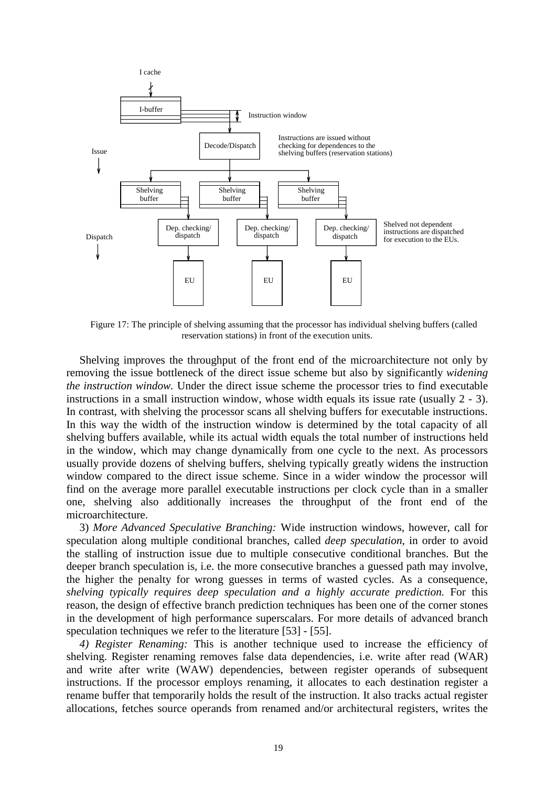

Figure 17: The principle of shelving assuming that the processor has individual shelving buffers (called reservation stations) in front of the execution units.

Shelving improves the throughput of the front end of the microarchitecture not only by removing the issue bottleneck of the direct issue scheme but also by significantly *widening the instruction window.* Under the direct issue scheme the processor tries to find executable instructions in a small instruction window, whose width equals its issue rate (usually 2 - 3). In contrast, with shelving the processor scans all shelving buffers for executable instructions. In this way the width of the instruction window is determined by the total capacity of all shelving buffers available, while its actual width equals the total number of instructions held in the window, which may change dynamically from one cycle to the next. As processors usually provide dozens of shelving buffers, shelving typically greatly widens the instruction window compared to the direct issue scheme. Since in a wider window the processor will find on the average more parallel executable instructions per clock cycle than in a smaller one, shelving also additionally increases the throughput of the front end of the microarchitecture.

3) *More Advanced Speculative Branching:* Wide instruction windows, however, call for speculation along multiple conditional branches, called *deep speculation,* in order to avoid the stalling of instruction issue due to multiple consecutive conditional branches. But the deeper branch speculation is, i.e. the more consecutive branches a guessed path may involve, the higher the penalty for wrong guesses in terms of wasted cycles. As a consequence, *shelving typically requires deep speculation and a highly accurate prediction*. For this reason, the design of effective branch prediction techniques has been one of the corner stones in the development of high performance superscalars. For more details of advanced branch speculation techniques we refer to the literature [53] - [55].

*4) Register Renaming:* This is another technique used to increase the efficiency of shelving. Register renaming removes false data dependencies, i.e. write after read (WAR) and write after write (WAW) dependencies, between register operands of subsequent instructions. If the processor employs renaming, it allocates to each destination register a rename buffer that temporarily holds the result of the instruction. It also tracks actual register allocations, fetches source operands from renamed and/or architectural registers, writes the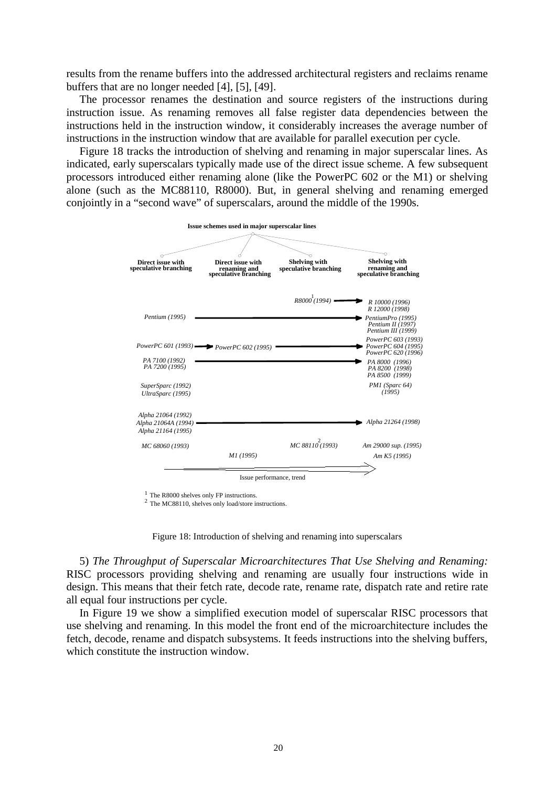results from the rename buffers into the addressed architectural registers and reclaims rename buffers that are no longer needed [4], [5], [49].

The processor renames the destination and source registers of the instructions during instruction issue. As renaming removes all false register data dependencies between the instructions held in the instruction window, it considerably increases the average number of instructions in the instruction window that are available for parallel execution per cycle.

Figure 18 tracks the introduction of shelving and renaming in major superscalar lines. As indicated, early superscalars typically made use of the direct issue scheme. A few subsequent processors introduced either renaming alone (like the PowerPC 602 or the M1) or shelving alone (such as the MC88110, R8000). But, in general shelving and renaming emerged conjointly in a "second wave" of superscalars, around the middle of the 1990s.



 $1$  The R8000 shelves only FP instructions.

<sup>2</sup> The MC88110, shelves only load/store instructions.



5) *The Throughput of Superscalar Microarchitectures That Use Shelving and Renaming:* RISC processors providing shelving and renaming are usually four instructions wide in design. This means that their fetch rate, decode rate, rename rate, dispatch rate and retire rate all equal four instructions per cycle.

In Figure 19 we show a simplified execution model of superscalar RISC processors that use shelving and renaming. In this model the front end of the microarchitecture includes the fetch, decode, rename and dispatch subsystems. It feeds instructions into the shelving buffers, which constitute the instruction window.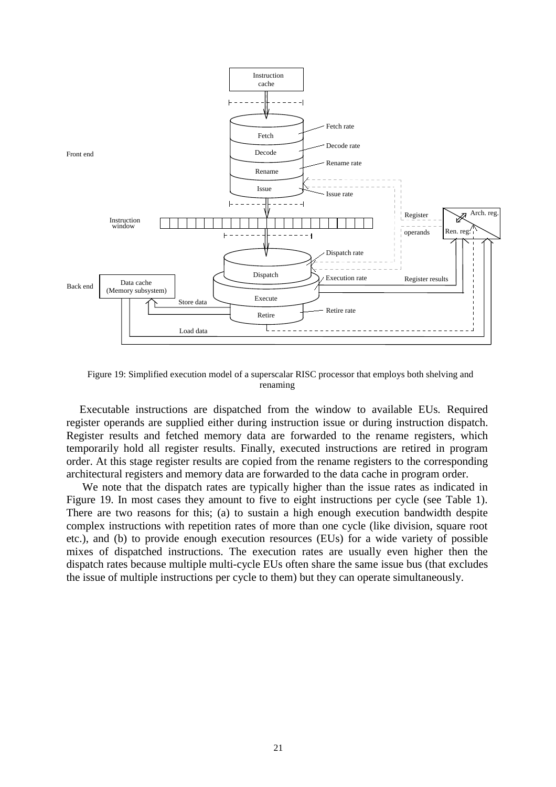

Figure 19: Simplified execution model of a superscalar RISC processor that employs both shelving and renaming

Executable instructions are dispatched from the window to available EUs*.* Required register operands are supplied either during instruction issue or during instruction dispatch. Register results and fetched memory data are forwarded to the rename registers, which temporarily hold all register results. Finally, executed instructions are retired in program order. At this stage register results are copied from the rename registers to the corresponding architectural registers and memory data are forwarded to the data cache in program order.

 We note that the dispatch rates are typically higher than the issue rates as indicated in Figure 19. In most cases they amount to five to eight instructions per cycle (see Table 1). There are two reasons for this; (a) to sustain a high enough execution bandwidth despite complex instructions with repetition rates of more than one cycle (like division, square root etc.), and (b) to provide enough execution resources (EUs) for a wide variety of possible mixes of dispatched instructions. The execution rates are usually even higher then the dispatch rates because multiple multi-cycle EUs often share the same issue bus (that excludes the issue of multiple instructions per cycle to them) but they can operate simultaneously.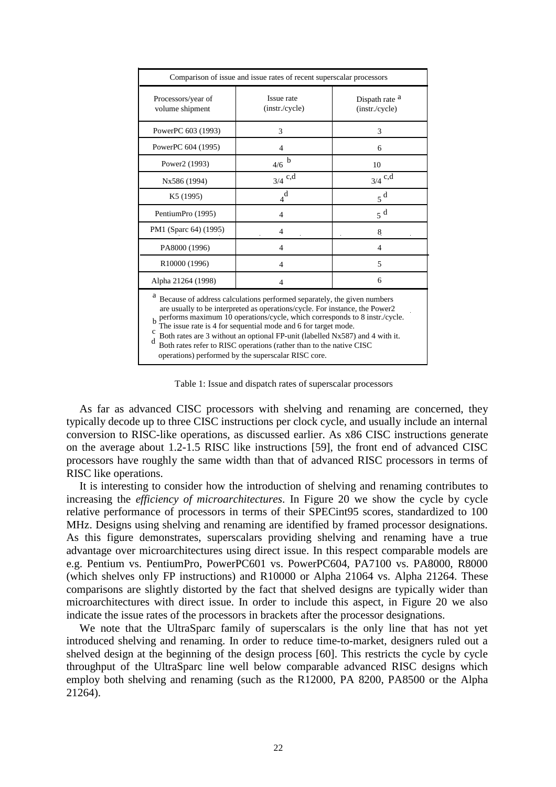| Comparison of issue and issue rates of recent superscalar processors                                                                                                                                                                                                                                                                                                                                                                                                                                                                |                              |                                             |  |
|-------------------------------------------------------------------------------------------------------------------------------------------------------------------------------------------------------------------------------------------------------------------------------------------------------------------------------------------------------------------------------------------------------------------------------------------------------------------------------------------------------------------------------------|------------------------------|---------------------------------------------|--|
| Processors/year of<br>volume shipment                                                                                                                                                                                                                                                                                                                                                                                                                                                                                               | Issue rate<br>(instr./cycle) | Dispath rate <sup>a</sup><br>(instr./cycle) |  |
| PowerPC 603 (1993)                                                                                                                                                                                                                                                                                                                                                                                                                                                                                                                  | 3                            | 3                                           |  |
| PowerPC 604 (1995)                                                                                                                                                                                                                                                                                                                                                                                                                                                                                                                  | $\overline{4}$               | 6                                           |  |
| Power2 (1993)                                                                                                                                                                                                                                                                                                                                                                                                                                                                                                                       | b<br>4/6                     | 10                                          |  |
| Nx586 (1994)                                                                                                                                                                                                                                                                                                                                                                                                                                                                                                                        | $3/4$ c,d                    | $3/4$ c,d                                   |  |
| K <sub>5</sub> (1995)                                                                                                                                                                                                                                                                                                                                                                                                                                                                                                               | $_4^{\dot d}$                | $5^{\mathrm{d}}$                            |  |
| PentiumPro (1995)                                                                                                                                                                                                                                                                                                                                                                                                                                                                                                                   | $\overline{4}$               | 5 <sup>d</sup>                              |  |
| PM1 (Sparc 64) (1995)                                                                                                                                                                                                                                                                                                                                                                                                                                                                                                               | 4                            | 8                                           |  |
| PA8000 (1996)                                                                                                                                                                                                                                                                                                                                                                                                                                                                                                                       | $\overline{4}$               | 4                                           |  |
| R10000 (1996)                                                                                                                                                                                                                                                                                                                                                                                                                                                                                                                       | $\overline{4}$               | 5                                           |  |
| Alpha 21264 (1998)                                                                                                                                                                                                                                                                                                                                                                                                                                                                                                                  | $\overline{4}$               | 6                                           |  |
| а<br>Because of address calculations performed separately, the given numbers<br>are usually to be interpreted as operations/cycle. For instance, the Power2<br>performs maximum 10 operations/cycle, which corresponds to 8 instr./cycle.<br>The issue rate is 4 for sequential mode and 6 for target mode.<br>c<br>Both rates are 3 without an optional FP-unit (labelled Nx587) and 4 with it.<br>d<br>Both rates refer to RISC operations (rather than to the native CISC<br>operations) performed by the superscalar RISC core. |                              |                                             |  |

Table 1: Issue and dispatch rates of superscalar processors

As far as advanced CISC processors with shelving and renaming are concerned, they typically decode up to three CISC instructions per clock cycle, and usually include an internal conversion to RISC-like operations, as discussed earlier. As x86 CISC instructions generate on the average about 1.2-1.5 RISC like instructions [59], the front end of advanced CISC processors have roughly the same width than that of advanced RISC processors in terms of RISC like operations.

It is interesting to consider how the introduction of shelving and renaming contributes to increasing the *efficiency of microarchitectures*. In Figure 20 we show the cycle by cycle relative performance of processors in terms of their SPECint95 scores, standardized to 100 MHz. Designs using shelving and renaming are identified by framed processor designations. As this figure demonstrates, superscalars providing shelving and renaming have a true advantage over microarchitectures using direct issue. In this respect comparable models are e.g. Pentium vs. PentiumPro, PowerPC601 vs. PowerPC604, PA7100 vs. PA8000, R8000 (which shelves only FP instructions) and R10000 or Alpha 21064 vs. Alpha 21264. These comparisons are slightly distorted by the fact that shelved designs are typically wider than microarchitectures with direct issue. In order to include this aspect, in Figure 20 we also indicate the issue rates of the processors in brackets after the processor designations.

We note that the UltraSparc family of superscalars is the only line that has not yet introduced shelving and renaming. In order to reduce time-to-market, designers ruled out a shelved design at the beginning of the design process [60]. This restricts the cycle by cycle throughput of the UltraSparc line well below comparable advanced RISC designs which employ both shelving and renaming (such as the R12000, PA 8200, PA8500 or the Alpha 21264).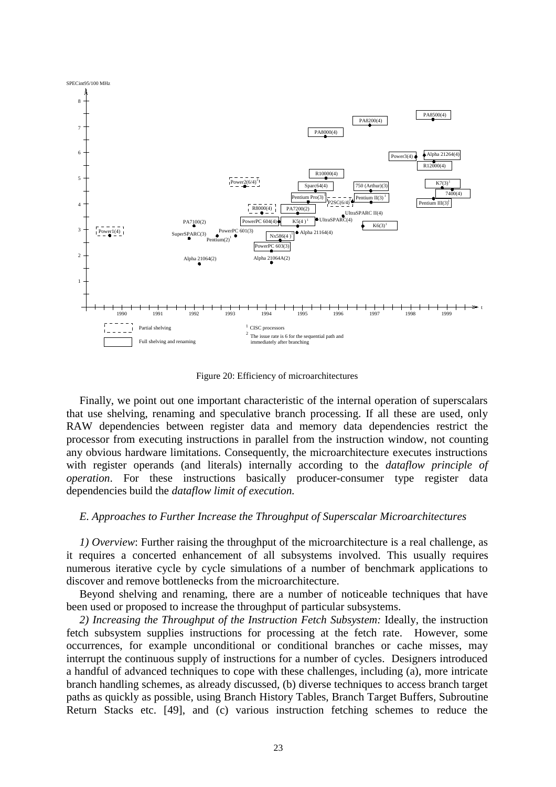

Figure 20: Efficiency of microarchitectures

Finally, we point out one important characteristic of the internal operation of superscalars that use shelving, renaming and speculative branch processing. If all these are used, only RAW dependencies between register data and memory data dependencies restrict the processor from executing instructions in parallel from the instruction window, not counting any obvious hardware limitations. Consequently, the microarchitecture executes instructions with register operands (and literals) internally according to the *dataflow principle of operation*. For these instructions basically producer-consumer type register data dependencies build the *dataflow limit of execution.*

## *E. Approaches to Further Increase the Throughput of Superscalar Microarchitectures*

*1) Overview*: Further raising the throughput of the microarchitecture is a real challenge, as it requires a concerted enhancement of all subsystems involved. This usually requires numerous iterative cycle by cycle simulations of a number of benchmark applications to discover and remove bottlenecks from the microarchitecture.

Beyond shelving and renaming, there are a number of noticeable techniques that have been used or proposed to increase the throughput of particular subsystems.

*2) Increasing the Throughput of the Instruction Fetch Subsystem:* Ideally, the instruction fetch subsystem supplies instructions for processing at the fetch rate. However, some occurrences, for example unconditional or conditional branches or cache misses, may interrupt the continuous supply of instructions for a number of cycles. Designers introduced a handful of advanced techniques to cope with these challenges, including (a), more intricate branch handling schemes, as already discussed, (b) diverse techniques to access branch target paths as quickly as possible, using Branch History Tables, Branch Target Buffers, Subroutine Return Stacks etc. [49], and (c) various instruction fetching schemes to reduce the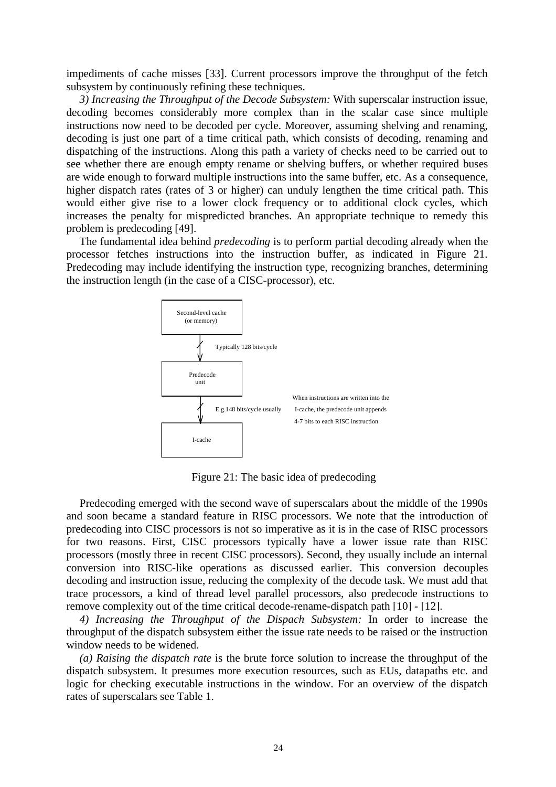impediments of cache misses [33]. Current processors improve the throughput of the fetch subsystem by continuously refining these techniques.

*3) Increasing the Throughput of the Decode Subsystem:* With superscalar instruction issue, decoding becomes considerably more complex than in the scalar case since multiple instructions now need to be decoded per cycle. Moreover, assuming shelving and renaming, decoding is just one part of a time critical path, which consists of decoding, renaming and dispatching of the instructions. Along this path a variety of checks need to be carried out to see whether there are enough empty rename or shelving buffers, or whether required buses are wide enough to forward multiple instructions into the same buffer, etc. As a consequence, higher dispatch rates (rates of 3 or higher) can unduly lengthen the time critical path. This would either give rise to a lower clock frequency or to additional clock cycles, which increases the penalty for mispredicted branches. An appropriate technique to remedy this problem is predecoding [49].

The fundamental idea behind *predecoding* is to perform partial decoding already when the processor fetches instructions into the instruction buffer, as indicated in Figure 21. Predecoding may include identifying the instruction type, recognizing branches, determining the instruction length (in the case of a CISC-processor), etc.



Figure 21: The basic idea of predecoding

Predecoding emerged with the second wave of superscalars about the middle of the 1990s and soon became a standard feature in RISC processors. We note that the introduction of predecoding into CISC processors is not so imperative as it is in the case of RISC processors for two reasons. First, CISC processors typically have a lower issue rate than RISC processors (mostly three in recent CISC processors). Second, they usually include an internal conversion into RISC-like operations as discussed earlier. This conversion decouples decoding and instruction issue, reducing the complexity of the decode task. We must add that trace processors, a kind of thread level parallel processors, also predecode instructions to remove complexity out of the time critical decode-rename-dispatch path [10] - [12].

*4) Increasing the Throughput of the Dispach Subsystem:* In order to increase the throughput of the dispatch subsystem either the issue rate needs to be raised or the instruction window needs to be widened.

*(a) Raising the dispatch rate* is the brute force solution to increase the throughput of the dispatch subsystem. It presumes more execution resources, such as EUs, datapaths etc. and logic for checking executable instructions in the window. For an overview of the dispatch rates of superscalars see Table 1.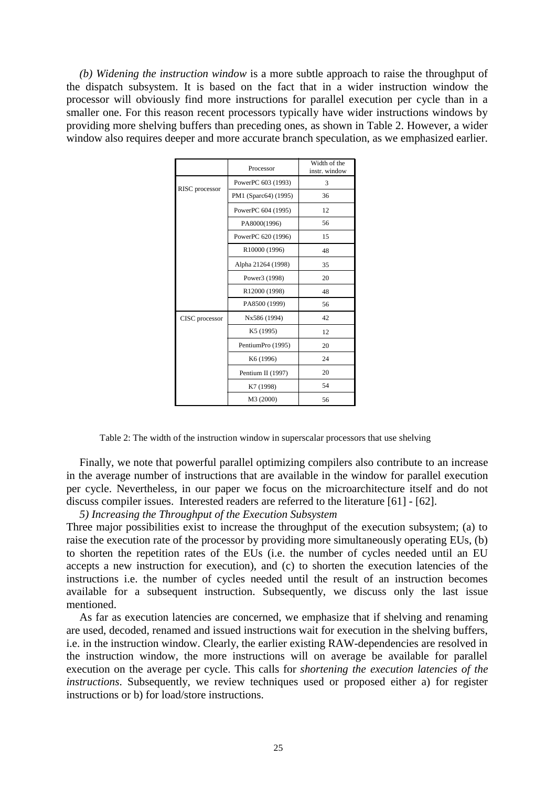*(b) Widening the instruction window* is a more subtle approach to raise the throughput of the dispatch subsystem. It is based on the fact that in a wider instruction window the processor will obviously find more instructions for parallel execution per cycle than in a smaller one. For this reason recent processors typically have wider instructions windows by providing more shelving buffers than preceding ones, as shown in Table 2. However, a wider window also requires deeper and more accurate branch speculation, as we emphasized earlier.

|                | Processor             | Width of the<br>instr. window |
|----------------|-----------------------|-------------------------------|
| RISC processor | PowerPC 603 (1993)    | 3                             |
|                | PM1 (Sparc64) (1995)  | 36                            |
|                | PowerPC 604 (1995)    | 12                            |
|                | PA8000(1996)          | 56                            |
|                | PowerPC 620 (1996)    | 15                            |
|                | R10000 (1996)         | 48                            |
|                | Alpha 21264 (1998)    | 35                            |
|                | Power3 (1998)         | 20                            |
|                | R12000 (1998)         | 48                            |
|                | PA8500 (1999)         | 56                            |
| CISC processor | Nx586 (1994)          | 42                            |
|                | K5 (1995)             | 12                            |
|                | PentiumPro (1995)     | 20                            |
|                | K <sub>6</sub> (1996) | 24                            |
|                | Pentium II (1997)     | 20                            |
|                | K7 (1998)             | 54                            |
|                | M3 (2000)             | 56                            |

Table 2: The width of the instruction window in superscalar processors that use shelving

Finally, we note that powerful parallel optimizing compilers also contribute to an increase in the average number of instructions that are available in the window for parallel execution per cycle. Nevertheless, in our paper we focus on the microarchitecture itself and do not discuss compiler issues. Interested readers are referred to the literature [61] - [62].

*5) Increasing the Throughput of the Execution Subsystem*

Three major possibilities exist to increase the throughput of the execution subsystem; (a) to raise the execution rate of the processor by providing more simultaneously operating EUs, (b) to shorten the repetition rates of the EUs (i.e. the number of cycles needed until an EU accepts a new instruction for execution), and (c) to shorten the execution latencies of the instructions i.e. the number of cycles needed until the result of an instruction becomes available for a subsequent instruction. Subsequently, we discuss only the last issue mentioned.

As far as execution latencies are concerned, we emphasize that if shelving and renaming are used, decoded, renamed and issued instructions wait for execution in the shelving buffers, i.e. in the instruction window. Clearly, the earlier existing RAW-dependencies are resolved in the instruction window, the more instructions will on average be available for parallel execution on the average per cycle. This calls for *shortening the execution latencies of the instructions*. Subsequently, we review techniques used or proposed either a) for register instructions or b) for load/store instructions.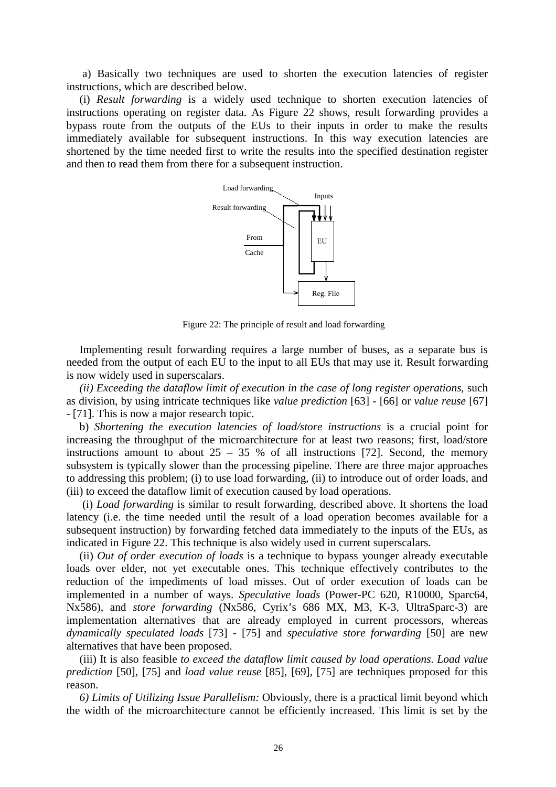a) Basically two techniques are used to shorten the execution latencies of register instructions, which are described below.

(i) *Result forwarding* is a widely used technique to shorten execution latencies of instructions operating on register data. As Figure 22 shows, result forwarding provides a bypass route from the outputs of the EUs to their inputs in order to make the results immediately available for subsequent instructions. In this way execution latencies are shortened by the time needed first to write the results into the specified destination register and then to read them from there for a subsequent instruction.



Figure 22: The principle of result and load forwarding

Implementing result forwarding requires a large number of buses, as a separate bus is needed from the output of each EU to the input to all EUs that may use it. Result forwarding is now widely used in superscalars.

*(ii) Exceeding the dataflow limit of execution in the case of long register operations*, such as division, by using intricate techniques like *value prediction* [63] - [66] or *value reuse* [67] - [71]. This is now a major research topic.

b) *Shortening the execution latencies of load/store instructions* is a crucial point for increasing the throughput of the microarchitecture for at least two reasons; first, load/store instructions amount to about  $25 - 35$  % of all instructions [72]. Second, the memory subsystem is typically slower than the processing pipeline. There are three major approaches to addressing this problem; (i) to use load forwarding, (ii) to introduce out of order loads, and (iii) to exceed the dataflow limit of execution caused by load operations.

 (i) *Load forwarding* is similar to result forwarding, described above. It shortens the load latency (i.e. the time needed until the result of a load operation becomes available for a subsequent instruction) by forwarding fetched data immediately to the inputs of the EUs, as indicated in Figure 22. This technique is also widely used in current superscalars.

(ii) *Out of order execution of loads* is a technique to bypass younger already executable loads over elder, not yet executable ones. This technique effectively contributes to the reduction of the impediments of load misses. Out of order execution of loads can be implemented in a number of ways. *Speculative loads* (Power-PC 620, R10000, Sparc64, Nx586), and *store forwarding* (Nx586, Cyrix's 686 MX, M3, K-3, UltraSparc-3) are implementation alternatives that are already employed in current processors, whereas *dynamically speculated loads* [73] - [75] and *speculative store forwarding* [50] are new alternatives that have been proposed.

(iii) It is also feasible *to exceed the dataflow limit caused by load operations*. *Load value prediction* [50], [75] and *load value reuse* [85], [69], [75] are techniques proposed for this reason.

*6) Limits of Utilizing Issue Parallelism:* Obviously, there is a practical limit beyond which the width of the microarchitecture cannot be efficiently increased. This limit is set by the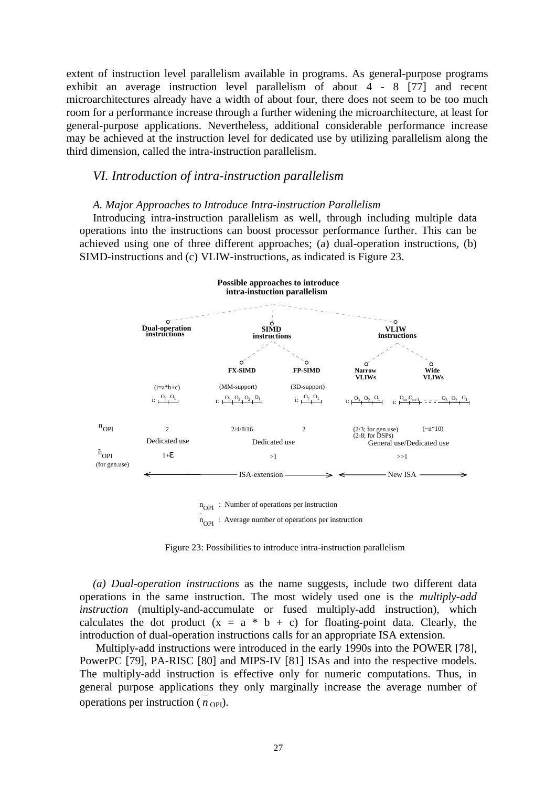extent of instruction level parallelism available in programs. As general-purpose programs exhibit an average instruction level parallelism of about 4 - 8 [77] and recent microarchitectures already have a width of about four, there does not seem to be too much room for a performance increase through a further widening the microarchitecture, at least for general-purpose applications. Nevertheless, additional considerable performance increase may be achieved at the instruction level for dedicated use by utilizing parallelism along the third dimension, called the intra-instruction parallelism.

### *VI. Introduction of intra-instruction parallelism*

### *A. Major Approaches to Introduce Intra-instruction Parallelism*

Introducing intra-instruction parallelism as well, through including multiple data operations into the instructions can boost processor performance further. This can be achieved using one of three different approaches; (a) dual-operation instructions, (b) SIMD-instructions and (c) VLIW-instructions, as indicated is Figure 23.



 $n_{\text{OPT}}$  : Average number of operations per instruction

Figure 23: Possibilities to introduce intra-instruction parallelism

*(a) Dual-operation instructions* as the name suggests, include two different data operations in the same instruction. The most widely used one is the *multiply-add instruction* (multiply-and-accumulate or fused multiply-add instruction), which calculates the dot product  $(x = a * b + c)$  for floating-point data. Clearly, the introduction of dual-operation instructions calls for an appropriate ISA extension.

 Multiply-add instructions were introduced in the early 1990s into the POWER [78], PowerPC [79], PA-RISC [80] and MIPS-IV [81] ISAs and into the respective models. The multiply-add instruction is effective only for numeric computations. Thus, in general purpose applications they only marginally increase the average number of operations per instruction ( $n_{\text{OPI}}$ ).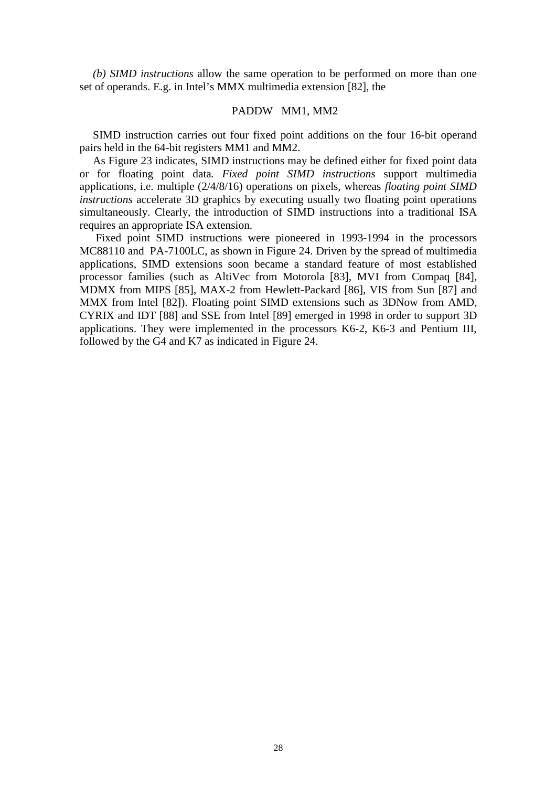*(b) SIMD instructions* allow the same operation to be performed on more than one set of operands. E.g. in Intel's MMX multimedia extension [82], the

### PADDW MM1, MM2

SIMD instruction carries out four fixed point additions on the four 16-bit operand pairs held in the 64-bit registers MM1 and MM2.

As Figure 23 indicates, SIMD instructions may be defined either for fixed point data or for floating point data*. Fixed point SIMD instructions* support multimedia applications, i.e. multiple (2/4/8/16) operations on pixels, whereas *floating point SIMD instructions* accelerate 3D graphics by executing usually two floating point operations simultaneously. Clearly, the introduction of SIMD instructions into a traditional ISA requires an appropriate ISA extension.

 Fixed point SIMD instructions were pioneered in 1993-1994 in the processors MC88110 and PA-7100LC, as shown in Figure 24. Driven by the spread of multimedia applications, SIMD extensions soon became a standard feature of most established processor families (such as AltiVec from Motorola [83], MVI from Compaq [84], MDMX from MIPS [85], MAX-2 from Hewlett-Packard [86], VIS from Sun [87] and MMX from Intel [82]). Floating point SIMD extensions such as 3DNow from AMD, CYRIX and IDT [88] and SSE from Intel [89] emerged in 1998 in order to support 3D applications. They were implemented in the processors K6-2, K6-3 and Pentium III, followed by the G4 and K7 as indicated in Figure 24.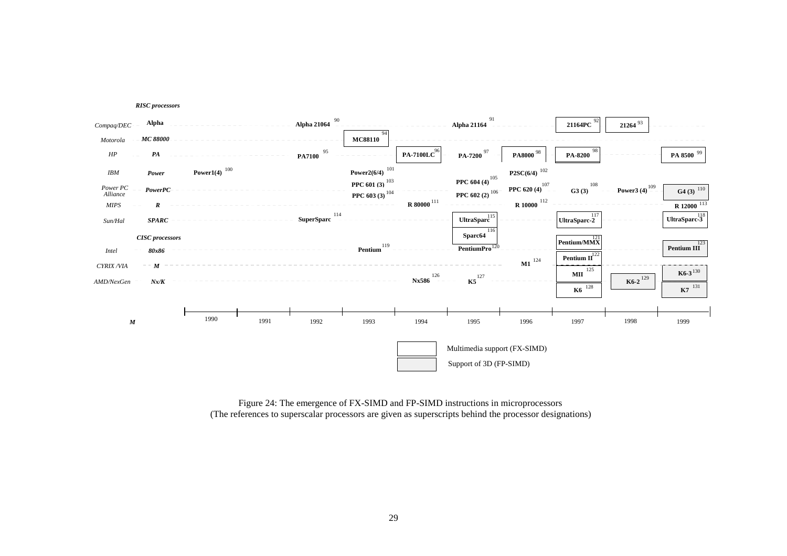



Figure 24: The emergence of FX-SIMD and FP-SIMD instructions in microprocessors (The references to superscalar processors are given as superscripts behind the processor designations)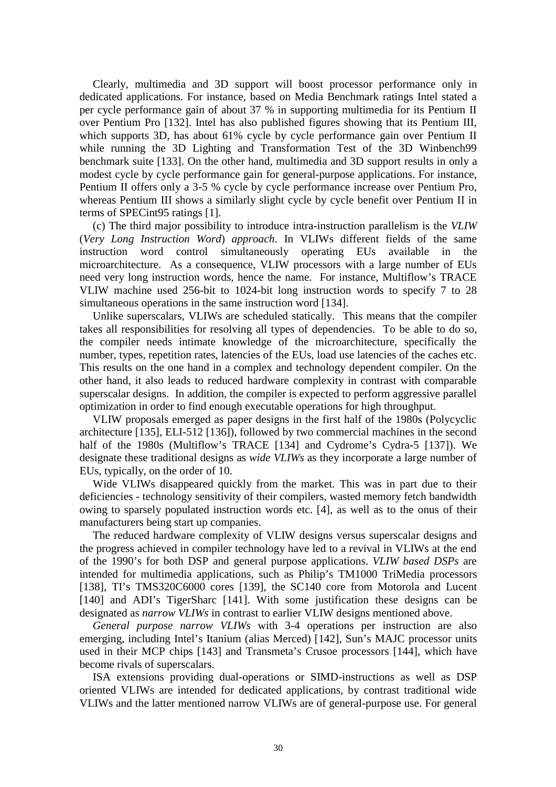Clearly, multimedia and 3D support will boost processor performance only in dedicated applications. For instance, based on Media Benchmark ratings Intel stated a per cycle performance gain of about 37 % in supporting multimedia for its Pentium II over Pentium Pro [132]. Intel has also published figures showing that its Pentium III, which supports 3D, has about 61% cycle by cycle performance gain over Pentium II while running the 3D Lighting and Transformation Test of the 3D Winbench99 benchmark suite [133]. On the other hand, multimedia and 3D support results in only a modest cycle by cycle performance gain for general-purpose applications. For instance, Pentium II offers only a 3-5 % cycle by cycle performance increase over Pentium Pro, whereas Pentium III shows a similarly slight cycle by cycle benefit over Pentium II in terms of SPECint95 ratings [1].

(c) The third major possibility to introduce intra-instruction parallelism is the *VLIW* (*Very Long Instruction Word*) *approach*. In VLIWs different fields of the same instruction word control simultaneously operating EUs available in the microarchitecture. As a consequence, VLIW processors with a large number of EUs need very long instruction words, hence the name. For instance, Multiflow's TRACE VLIW machine used 256-bit to 1024-bit long instruction words to specify 7 to 28 simultaneous operations in the same instruction word [134].

Unlike superscalars, VLIWs are scheduled statically. This means that the compiler takes all responsibilities for resolving all types of dependencies. To be able to do so, the compiler needs intimate knowledge of the microarchitecture, specifically the number, types, repetition rates, latencies of the EUs, load use latencies of the caches etc. This results on the one hand in a complex and technology dependent compiler. On the other hand, it also leads to reduced hardware complexity in contrast with comparable superscalar designs. In addition, the compiler is expected to perform aggressive parallel optimization in order to find enough executable operations for high throughput.

VLIW proposals emerged as paper designs in the first half of the 1980s (Polycyclic architecture [135], ELI-512 [136]), followed by two commercial machines in the second half of the 1980s (Multiflow's TRACE [134] and Cydrome's Cydra-5 [137]). We designate these traditional designs as *wide VLIWs* as they incorporate a large number of EUs, typically, on the order of 10.

Wide VLIWs disappeared quickly from the market. This was in part due to their deficiencies - technology sensitivity of their compilers, wasted memory fetch bandwidth owing to sparsely populated instruction words etc. [4], as well as to the onus of their manufacturers being start up companies.

The reduced hardware complexity of VLIW designs versus superscalar designs and the progress achieved in compiler technology have led to a revival in VLIWs at the end of the 1990's for both DSP and general purpose applications. *VLIW based DSPs* are intended for multimedia applications, such as Philip's TM1000 TriMedia processors [138], TI's TMS320C6000 cores [139], the SC140 core from Motorola and Lucent [140] and ADI's TigerSharc [141]. With some justification these designs can be designated as *narrow VLIWs* in contrast to earlier VLIW designs mentioned above.

*General purpose narrow VLIWs* with 3-4 operations per instruction are also emerging, including Intel's Itanium (alias Merced) [142], Sun's MAJC processor units used in their MCP chips [143] and Transmeta's Crusoe processors [144], which have become rivals of superscalars.

ISA extensions providing dual-operations or SIMD-instructions as well as DSP oriented VLIWs are intended for dedicated applications, by contrast traditional wide VLIWs and the latter mentioned narrow VLIWs are of general-purpose use. For general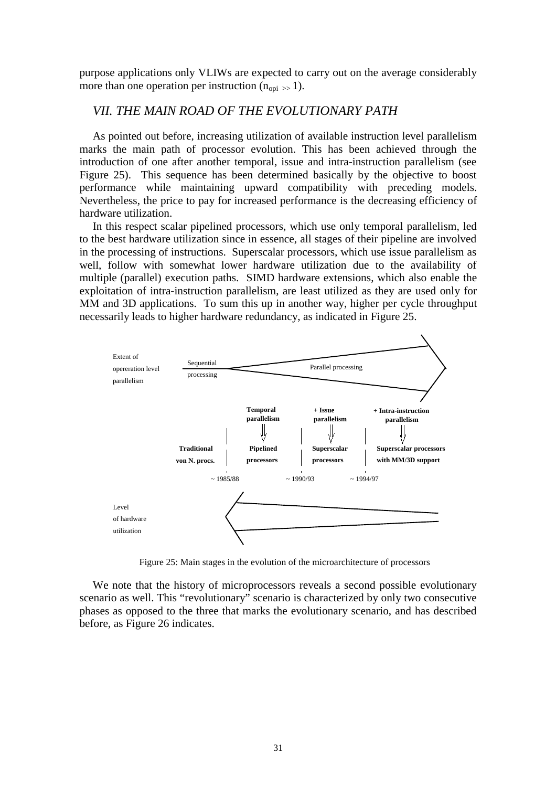purpose applications only VLIWs are expected to carry out on the average considerably more than one operation per instruction  $(n_{\text{opi}} \gg 1)$ .

## *VII. THE MAIN ROAD OF THE EVOLUTIONARY PATH*

As pointed out before, increasing utilization of available instruction level parallelism marks the main path of processor evolution. This has been achieved through the introduction of one after another temporal, issue and intra-instruction parallelism (see Figure 25). This sequence has been determined basically by the objective to boost performance while maintaining upward compatibility with preceding models. Nevertheless, the price to pay for increased performance is the decreasing efficiency of hardware utilization.

In this respect scalar pipelined processors, which use only temporal parallelism, led to the best hardware utilization since in essence, all stages of their pipeline are involved in the processing of instructions. Superscalar processors, which use issue parallelism as well, follow with somewhat lower hardware utilization due to the availability of multiple (parallel) execution paths. SIMD hardware extensions, which also enable the exploitation of intra-instruction parallelism, are least utilized as they are used only for MM and 3D applications. To sum this up in another way, higher per cycle throughput necessarily leads to higher hardware redundancy, as indicated in Figure 25.



Figure 25: Main stages in the evolution of the microarchitecture of processors

We note that the history of microprocessors reveals a second possible evolutionary scenario as well. This "revolutionary" scenario is characterized by only two consecutive phases as opposed to the three that marks the evolutionary scenario, and has described before, as Figure 26 indicates.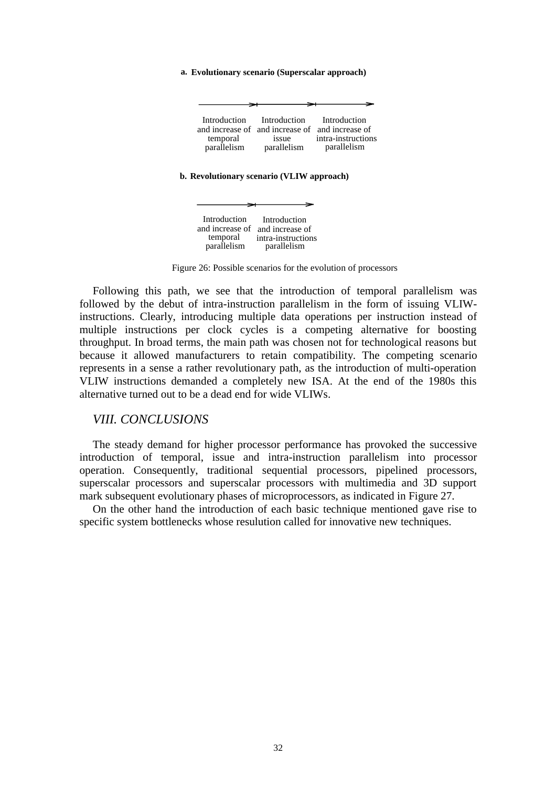#### **a. Evolutionary scenario (Superscalar approach)**

#### **b. Revolutionary scenario (VLIW approach)**



Figure 26: Possible scenarios for the evolution of processors

Following this path, we see that the introduction of temporal parallelism was followed by the debut of intra-instruction parallelism in the form of issuing VLIWinstructions. Clearly, introducing multiple data operations per instruction instead of multiple instructions per clock cycles is a competing alternative for boosting throughput. In broad terms, the main path was chosen not for technological reasons but because it allowed manufacturers to retain compatibility. The competing scenario represents in a sense a rather revolutionary path, as the introduction of multi-operation VLIW instructions demanded a completely new ISA. At the end of the 1980s this alternative turned out to be a dead end for wide VLIWs.

### *VIII. CONCLUSIONS*

The steady demand for higher processor performance has provoked the successive introduction of temporal, issue and intra-instruction parallelism into processor operation. Consequently, traditional sequential processors, pipelined processors, superscalar processors and superscalar processors with multimedia and 3D support mark subsequent evolutionary phases of microprocessors, as indicated in Figure 27.

On the other hand the introduction of each basic technique mentioned gave rise to specific system bottlenecks whose resulution called for innovative new techniques.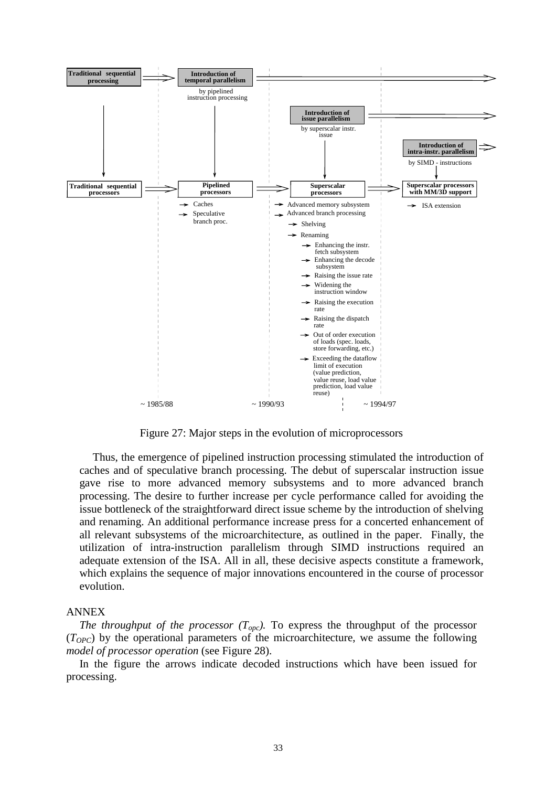

Figure 27: Major steps in the evolution of microprocessors

Thus, the emergence of pipelined instruction processing stimulated the introduction of caches and of speculative branch processing. The debut of superscalar instruction issue gave rise to more advanced memory subsystems and to more advanced branch processing. The desire to further increase per cycle performance called for avoiding the issue bottleneck of the straightforward direct issue scheme by the introduction of shelving and renaming. An additional performance increase press for a concerted enhancement of all relevant subsystems of the microarchitecture, as outlined in the paper. Finally, the utilization of intra-instruction parallelism through SIMD instructions required an adequate extension of the ISA. All in all, these decisive aspects constitute a framework, which explains the sequence of major innovations encountered in the course of processor evolution.

### ANNEX

*The throughput of the processor*  $(T_{opc})$ . To express the throughput of the processor (*TOPC*) by the operational parameters of the microarchitecture, we assume the following *model of processor operation* (see Figure 28).

In the figure the arrows indicate decoded instructions which have been issued for processing.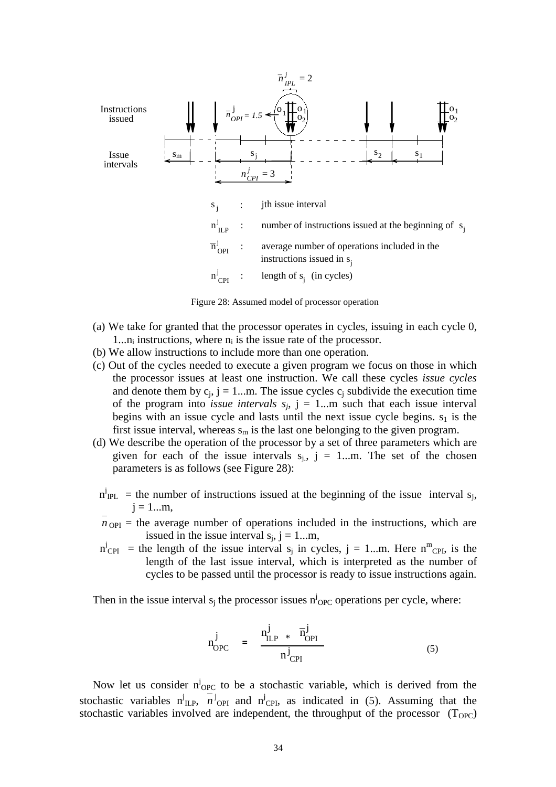

Figure 28: Assumed model of processor operation

- (a) We take for granted that the processor operates in cycles, issuing in each cycle 0, 1... $n_i$  instructions, where  $n_i$  is the issue rate of the processor.
- (b) We allow instructions to include more than one operation.
- (c) Out of the cycles needed to execute a given program we focus on those in which the processor issues at least one instruction. We call these cycles *issue cycles* and denote them by  $c_i$ ,  $j = 1...m$ . The issue cycles  $c_i$  subdivide the execution time of the program into *issue intervals*  $s_i$ ,  $j = 1...m$  such that each issue interval begins with an issue cycle and lasts until the next issue cycle begins.  $s_1$  is the first issue interval, whereas  $s_m$  is the last one belonging to the given program.
- (d) We describe the operation of the processor by a set of three parameters which are given for each of the issue intervals  $s_i$ ,  $j = 1...m$ . The set of the chosen parameters is as follows (see Figure 28):
- $n_{\text{IPL}}^j$  = the number of instructions issued at the beginning of the issue interval s<sub>j</sub>,  $j = 1...m$ ,
- $n_{\text{OPI}}$  = the average number of operations included in the instructions, which are issued in the issue interval  $s_i$ ,  $j = 1...m$ ,
- $n^{j}_{\text{CPI}}$  = the length of the issue interval s<sub>j</sub> in cycles, j = 1...m. Here n<sup>m</sup><sub>CPI</sub>, is the length of the last issue interval, which is interpreted as the number of cycles to be passed until the processor is ready to issue instructions again.

Then in the issue interval  $s_j$  the processor issues  $n^j$ <sub>OPC</sub> operations per cycle, where:

$$
n_{\text{OPC}}^{j} = \frac{n_{\text{ILP}}^{j} * \overline{n}_{\text{OPI}}^{j}}{n_{\text{CPI}}^{j}}
$$
(5)

Now let us consider  $n^{j}$ <sub>OPC</sub> to be a stochastic variable, which is derived from the stochastic variables  $n^{j}_{\text{ILP}}$ ,  $n^{j}_{\text{OPT}}$  and  $n^{j}_{\text{CPI}}$ , as indicated in (5). Assuming that the stochastic variables involved are independent, the throughput of the processor  $(T_{OPC})$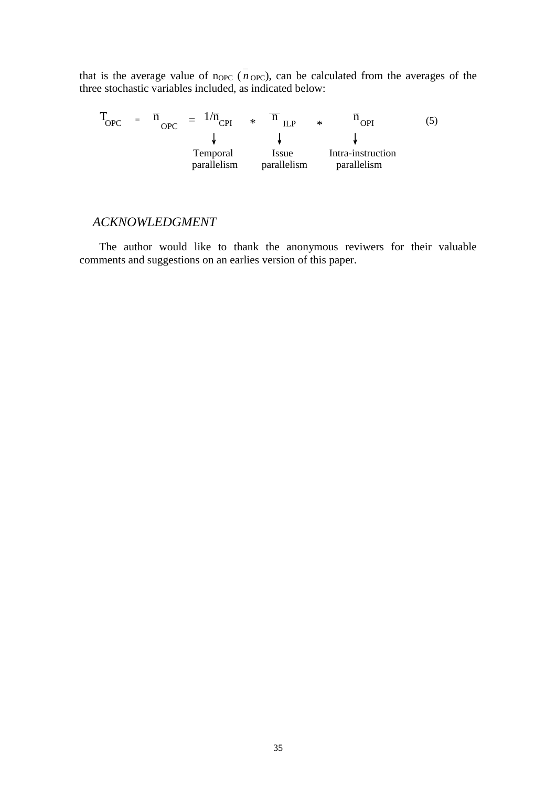that is the average value of  $n_{OPC}$  ( $n_{OPC}$ ), can be calculated from the averages of the three stochastic variables included, as indicated below:

 $T_{\text{OPC}}$  =  $\overline{n}_{\text{OPC}}$  =  $1/\overline{n}_{\text{CPI}}$  \*  $\overline{n}_{\text{ILP}}$  \*  $\overline{n}_{\text{OPI}}$  (5)  $\downarrow$  $\downarrow$ Temporal Issue Intra-instruction parallelism parallelism parallelism

## *ACKNOWLEDGMENT*

The author would like to thank the anonymous reviwers for their valuable comments and suggestions on an earlies version of this paper.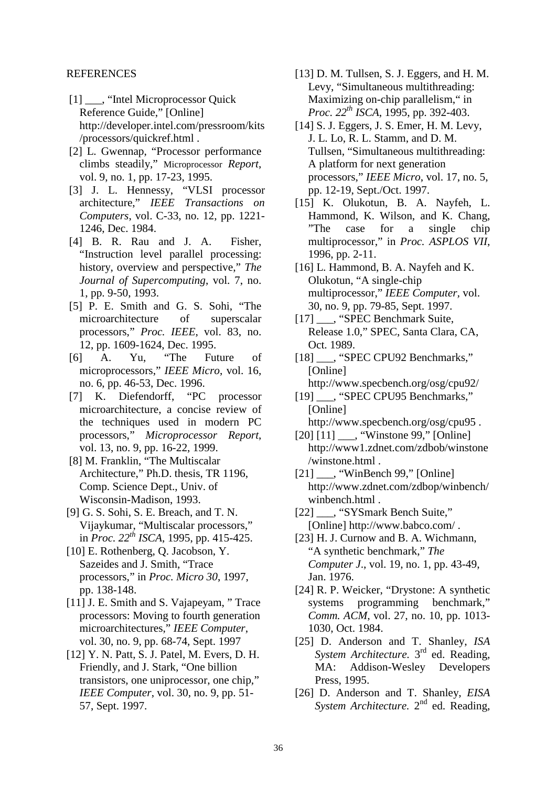### REFERENCES

- [1] \_\_\_, "Intel Microprocessor Quick Reference Guide," [Online] http://developer.intel.com/pressroom/kits /processors/quickref.html .
- [2] L. Gwennap, "Processor performance climbs steadily," Microprocessor *Report*, vol. 9, no. 1, pp. 17-23, 1995.
- [3] J. L. Hennessy, "VLSI processor architecture," *IEEE Transactions on Computers*, vol. C-33, no. 12, pp. 1221- 1246, Dec. 1984.
- [4] B. R. Rau and J. A. Fisher, "Instruction level parallel processing: history, overview and perspective," *The Journal of Supercomputing*, vol. 7, no. 1, pp. 9-50, 1993.
- [5] P. E. Smith and G. S. Sohi, "The microarchitecture of superscalar processors," *Proc. IEEE*, vol. 83, no. 12, pp. 1609-1624, Dec. 1995.
- [6] A. Yu, "The Future of microprocessors," *IEEE Micro*, vol. 16, no. 6, pp. 46-53, Dec. 1996.
- [7] K. Diefendorff, "PC processor microarchitecture, a concise review of the techniques used in modern PC processors," *Microprocessor Report*, vol. 13, no. 9, pp. 16-22, 1999.
- [8] M. Franklin, "The Multiscalar Architecture," Ph.D. thesis, TR 1196, Comp. Science Dept., Univ. of Wisconsin-Madison, 1993.
- [9] G. S. Sohi, S. E. Breach, and T. N. Vijaykumar, "Multiscalar processors," in *Proc. 22th ISCA*, 1995, pp. 415-425.
- [10] E. Rothenberg, Q. Jacobson, Y. Sazeides and J. Smith, "Trace processors," in *Proc. Micro 30*, 1997, pp. 138-148.
- [11] J. E. Smith and S. Vajapeyam, "Trace processors: Moving to fourth generation microarchitectures," *IEEE Computer*, vol. 30, no. 9, pp. 68-74, Sept. 1997
- [12] Y. N. Patt, S. J. Patel, M. Evers, D. H. Friendly, and J. Stark, "One billion transistors, one uniprocessor, one chip," *IEEE Computer*, vol. 30, no. 9, pp. 51- 57, Sept. 1997.
- [13] D. M. Tullsen, S. J. Eggers, and H. M. Levy, "Simultaneous multithreading: Maximizing on-chip parallelism," in *Proc. 22th ISCA*, 1995, pp. 392-403.
- [14] S. J. Eggers, J. S. Emer, H. M. Levy, J. L. Lo, R. L. Stamm, and D. M. Tullsen, "Simultaneous multithreading: A platform for next generation processors," *IEEE Micro*, vol. 17, no. 5, pp. 12-19, Sept./Oct. 1997.
- [15] K. Olukotun, B. A. Nayfeh, L. Hammond, K. Wilson, and K. Chang, "The case for a single chip multiprocessor," in *Proc. ASPLOS VII*, 1996, pp. 2-11.
- [16] L. Hammond, B. A. Nayfeh and K. Olukotun, "A single-chip multiprocessor," *IEEE Computer,* vol. 30, no. 9, pp. 79-85, Sept. 1997.
- [17] \_\_\_, "SPEC Benchmark Suite, Release 1.0," SPEC, Santa Clara, CA, Oct. 1989.
- [18] \_\_\_, "SPEC CPU92 Benchmarks," [Online] http://www.specbench.org/osg/cpu92/
- [19] ..., "SPEC CPU95 Benchmarks," [Online] http://www.specbench.org/osg/cpu95 .
- [20] [11] \_\_\_, "Winstone 99," [Online] http://www1.zdnet.com/zdbob/winstone /winstone.html .
- [21] \_\_\_, "WinBench 99," [Online] http://www.zdnet.com/zdbop/winbench/ winbench.html .
- [22] \_\_\_, "SYSmark Bench Suite," [Online] http://www.babco.com/ .
- [23] H. J. Curnow and B. A. Wichmann, "A synthetic benchmark," *The Computer J*., vol. 19, no. 1, pp. 43-49, Jan. 1976.
- [24] R. P. Weicker, "Drystone: A synthetic systems programming benchmark," *Comm. ACM*, vol. 27, no. 10, pp. 1013- 1030, Oct. 1984.
- [25] D. Anderson and T. Shanley, *ISA System Architecture.* 3rd ed. Reading, MA: Addison-Wesley Developers Press, 1995.
- [26] D. Anderson and T. Shanley, *EISA System Architecture.* 2<sup>nd</sup> ed. Reading,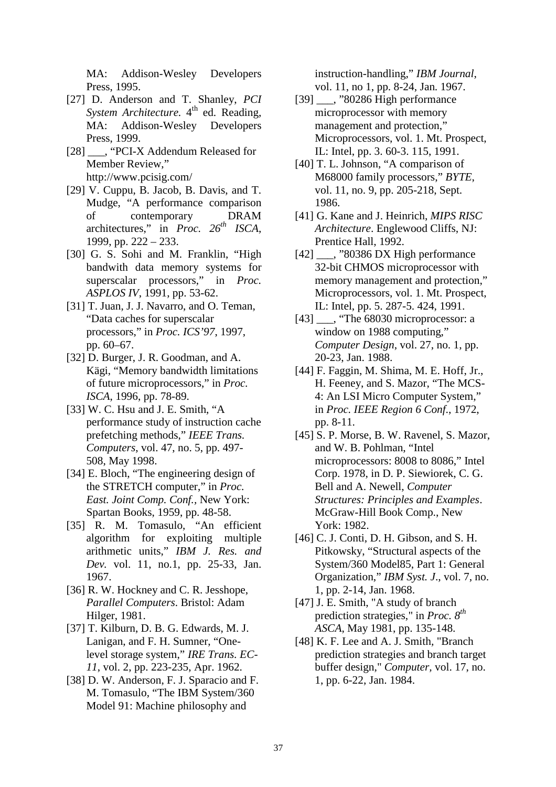MA: Addison-Wesley Developers Press, 1995.

- [27] D. Anderson and T. Shanley, *PCI System Architecture.* 4<sup>th</sup> ed. Reading, MA: Addison-Wesley Developers Press, 1999.
- [28]  $\qquad$ , "PCI-X Addendum Released for Member Review," http://www.pcisig.com/
- [29] V. Cuppu, B. Jacob, B. Davis, and T. Mudge, "A performance comparison of contemporary DRAM architectures," in *Proc. 26th ISCA*, 1999, pp. 222 – 233.
- [30] G. S. Sohi and M. Franklin, "High bandwith data memory systems for superscalar processors," in *Proc. ASPLOS IV*, 1991, pp. 53-62.
- [31] T. Juan, J. J. Navarro, and O. Teman, "Data caches for superscalar processors," in *Proc. ICS'97*, 1997, pp. 60–67.
- [32] D. Burger, J. R. Goodman, and A. Kägi, "Memory bandwidth limitations of future microprocessors," in *Proc. ISCA*, 1996, pp. 78-89.
- [33] W. C. Hsu and J. E. Smith, "A performance study of instruction cache prefetching methods," *IEEE Trans. Computers*, vol. 47, no. 5, pp. 497- 508, May 1998.
- [34] E. Bloch, "The engineering design of the STRETCH computer," in *Proc. East. Joint Comp. Conf.,* New York: Spartan Books, 1959, pp. 48-58.
- [35] R. M. Tomasulo, "An efficient algorithm for exploiting multiple arithmetic units," *IBM J. Res. and Dev.* vol. 11, no.1, pp. 25-33, Jan. 1967.
- [36] R. W. Hockney and C. R. Jesshope, *Parallel Computers*. Bristol: Adam Hilger, 1981.
- [37] T. Kilburn, D. B. G. Edwards, M. J. Lanigan, and F. H. Sumner, "Onelevel storage system," *IRE Trans. EC-11*, vol. 2, pp. 223-235, Apr. 1962.
- [38] D. W. Anderson, F. J. Sparacio and F. M. Tomasulo, "The IBM System/360 Model 91: Machine philosophy and

instruction-handling," *IBM Journal*, vol. 11, no 1, pp. 8-24, Jan. 1967.

- [39] \_\_\_, "80286 High performance microprocessor with memory management and protection," Microprocessors, vol. 1. Mt. Prospect, IL: Intel, pp. 3. 60-3. 115, 1991.
- [40] T. L. Johnson, "A comparison of M68000 family processors," *BYTE*, vol. 11, no. 9, pp. 205-218, Sept. 1986.
- [41] G. Kane and J. Heinrich, *MIPS RISC Architecture*. Englewood Cliffs, NJ: Prentice Hall, 1992.
- [42] \_\_\_, "80386 DX High performance 32-bit CHMOS microprocessor with memory management and protection," Microprocessors, vol. 1. Mt. Prospect, IL: Intel, pp. 5. 287-5. 424, 1991.
- [43] \_\_\_, "The 68030 microprocessor: a window on 1988 computing," *Computer Design*, vol. 27, no. 1, pp. 20-23, Jan. 1988.
- [44] F. Faggin, M. Shima, M. E. Hoff, Jr., H. Feeney, and S. Mazor, "The MCS-4: An LSI Micro Computer System," in *Proc. IEEE Region 6 Conf*., 1972, pp. 8-11.
- [45] S. P. Morse, B. W. Ravenel, S. Mazor, and W. B. Pohlman, "Intel microprocessors: 8008 to 8086," Intel Corp. 1978, in D. P. Siewiorek, C. G. Bell and A. Newell, *Computer Structures: Principles and Examples*. McGraw-Hill Book Comp., New York: 1982.
- [46] C. J. Conti, D. H. Gibson, and S. H. Pitkowsky, "Structural aspects of the System/360 Model85, Part 1: General Organization," *IBM Syst. J*., vol. 7, no. 1, pp. 2-14, Jan. 1968.
- [47] J. E. Smith, "A study of branch prediction strategies," in *Proc. 8th ASCA*, May 1981, pp. 135-148.
- [48] K. F. Lee and A. J. Smith*,* "Branch prediction strategies and branch target buffer design," *Computer,* vol. 17, no. 1, pp. 6-22, Jan. 1984.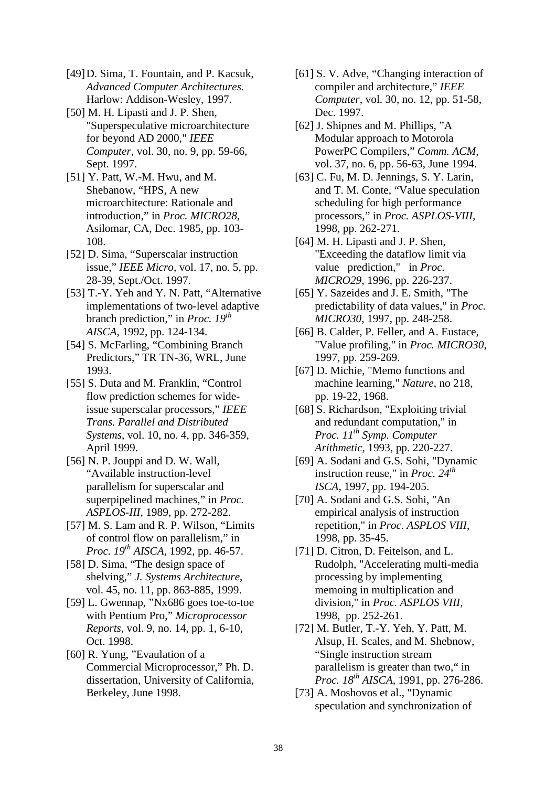- [49]D. Sima, T. Fountain, and P. Kacsuk, *Advanced Computer Architectures.* Harlow: Addison-Wesley, 1997.
- [50] M. H. Lipasti and J. P. Shen, "Superspeculative microarchitecture for beyond AD 2000," *IEEE Computer*, vol. 30, no. 9, pp. 59-66, Sept. 1997.
- [51] Y. Patt, W.-M. Hwu, and M. Shebanow, "HPS, A new microarchitecture: Rationale and introduction," in *Proc. MICRO28*, Asilomar, CA, Dec. 1985, pp. 103- 108.
- [52] D. Sima, "Superscalar instruction issue," *IEEE Micro*, vol. 17, no. 5, pp. 28-39, Sept./Oct. 1997.
- [53] T.-Y. Yeh and Y. N. Patt, "Alternative implementations of two-level adaptive branch prediction," in *Proc. 19th AISCA*, 1992, pp. 124-134.
- [54] S. McFarling, "Combining Branch Predictors," TR TN-36, WRL, June 1993.
- [55] S. Duta and M. Franklin, "Control flow prediction schemes for wideissue superscalar processors," *IEEE Trans. Parallel and Distributed Systems*, vol. 10, no. 4, pp. 346-359, April 1999.
- [56] N. P. Jouppi and D. W. Wall, "Available instruction-level parallelism for superscalar and superpipelined machines," in *Proc. ASPLOS-III*, 1989, pp. 272-282.
- [57] M. S. Lam and R. P. Wilson, "Limits of control flow on parallelism," in *Proc. 19th AISCA*, 1992, pp. 46-57.
- [58] D. Sima, "The design space of shelving," *J. Systems Architecture*, vol. 45, no. 11, pp. 863-885, 1999.
- [59] L. Gwennap, "Nx686 goes toe-to-toe with Pentium Pro," *Microprocessor Reports*, vol. 9, no. 14, pp. 1, 6-10, Oct. 1998.
- [60] R. Yung, "Evaulation of a Commercial Microprocessor," Ph. D. dissertation, University of California, Berkeley, June 1998.
- [61] S. V. Adve, "Changing interaction of compiler and architecture," *IEEE Computer*, vol. 30, no. 12, pp. 51-58, Dec. 1997.
- [62] J. Shipnes and M. Phillips, "A Modular approach to Motorola PowerPC Compilers," *Comm. ACM*, vol. 37, no. 6, pp. 56-63, June 1994.
- [63] C. Fu, M. D. Jennings, S. Y. Larin, and T. M. Conte, "Value speculation scheduling for high performance processors," in *Proc. ASPLOS-VIII,* 1998, pp. 262-271.
- [64] M. H. Lipasti and J. P. Shen, "Exceeding the dataflow limit via value prediction," in *Proc. MICRO29*, 1996, pp. 226-237.
- [65] Y. Sazeides and J. E. Smith, "The predictability of data values," in *Proc. MICRO30*, 1997, pp. 248-258.
- [66] B. Calder, P. Feller, and A. Eustace, "Value profiling," in *Proc. MICRO30*, 1997, pp. 259-269.
- [67] D. Michie, "Memo functions and machine learning," *Nature*, no 218, pp. 19-22, 1968.
- [68] S. Richardson, "Exploiting trivial and redundant computation," in *Proc. 11th Symp. Computer Arithmetic*, 1993, pp. 220-227.
- [69] A. Sodani and G.S. Sohi, "Dynamic instruction reuse," in *Proc. 24th ISCA*, 1997, pp. 194-205.
- [70] A. Sodani and G.S. Sohi, "An empirical analysis of instruction repetition," in *Proc. ASPLOS VIII*, 1998, pp. 35-45.
- [71] D. Citron, D. Feitelson, and L. Rudolph, "Accelerating multi-media processing by implementing memoing in multiplication and division," in *Proc. ASPLOS VIII*, 1998, pp. 252-261.
- [72] M. Butler, T.-Y. Yeh, Y. Patt, M. Alsup, H. Scales, and M. Shebnow, "Single instruction stream parallelism is greater than two," in *Proc. 18th AISCA*, 1991, pp. 276-286.
- [73] A. Moshovos et al., "Dynamic speculation and synchronization of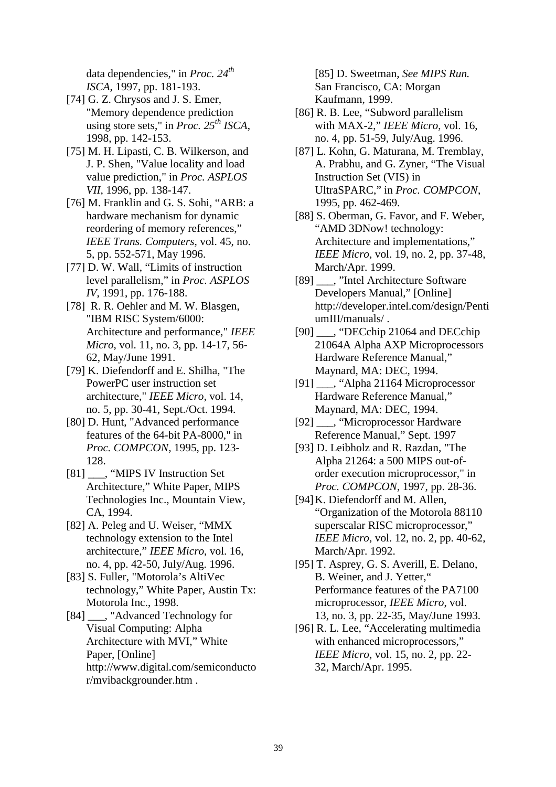data dependencies," in *Proc. 24th ISCA*, 1997, pp. 181-193.

- [74] G. Z. Chrysos and J. S. Emer, "Memory dependence prediction using store sets," in *Proc. 25th ISCA*, 1998, pp. 142-153.
- [75] M. H. Lipasti, C. B. Wilkerson, and J. P. Shen, "Value locality and load value prediction," in *Proc. ASPLOS VII*, 1996, pp. 138-147.
- [76] M. Franklin and G. S. Sohi, "ARB: a hardware mechanism for dynamic reordering of memory references," *IEEE Trans. Computers*, vol. 45, no. 5, pp. 552-571, May 1996.
- [77] D. W. Wall, "Limits of instruction level parallelism," in *Proc. ASPLOS IV*, 1991, pp. 176-188.
- [78] R. R. Oehler and M. W. Blasgen, "IBM RISC System/6000: Architecture and performance," *IEEE Micro*, vol. 11, no. 3, pp. 14-17, 56- 62, May/June 1991.
- [79] K. Diefendorff and E. Shilha, "The PowerPC user instruction set architecture," *IEEE Micro,* vol. 14, no. 5, pp. 30-41, Sept./Oct. 1994.
- [80] D. Hunt, "Advanced performance features of the 64-bit PA-8000," in *Proc. COMPCON*, 1995, pp. 123- 128.
- [81] \_\_\_, "MIPS IV Instruction Set Architecture," White Paper, MIPS Technologies Inc., Mountain View, CA, 1994.
- [82] A. Peleg and U. Weiser, "MMX technology extension to the Intel architecture," *IEEE Micro*, vol. 16, no. 4, pp. 42-50, July/Aug. 1996.
- [83] S. Fuller, "Motorola's AltiVec technology," White Paper, Austin Tx: Motorola Inc., 1998.

[84] \_\_\_, "Advanced Technology for Visual Computing: Alpha Architecture with MVI," White Paper, [Online] http://www.digital.com/semiconducto r/mvibackgrounder.htm .

[85] D. Sweetman, *See MIPS Run.* San Francisco, CA: Morgan Kaufmann, 1999.

- [86] R. B. Lee, "Subword parallelism with MAX-2," *IEEE Micro*, vol. 16, no. 4, pp. 51-59, July/Aug. 1996.
- [87] L. Kohn, G. Maturana, M. Tremblay, A. Prabhu, and G. Zyner, "The Visual Instruction Set (VIS) in UltraSPARC," in *Proc. COMPCON*, 1995, pp. 462-469.
- [88] S. Oberman, G. Favor, and F. Weber, "AMD 3DNow! technology: Architecture and implementations," *IEEE Micro*, vol. 19, no. 2, pp. 37-48, March/Apr. 1999.
- [89] \_\_\_, "Intel Architecture Software Developers Manual," [Online] http://developer.intel.com/design/Penti umIII/manuals/ .
- [90] \_\_\_, "DECchip 21064 and DECchip 21064A Alpha AXP Microprocessors Hardware Reference Manual," Maynard, MA: DEC, 1994.
- [91] . "Alpha 21164 Microprocessor Hardware Reference Manual," Maynard, MA: DEC, 1994.
- [92] \_\_\_, "Microprocessor Hardware Reference Manual," Sept. 1997
- [93] D. Leibholz and R. Razdan, "The Alpha 21264: a 500 MIPS out-oforder execution microprocessor," in *Proc. COMPCON*, 1997, pp. 28-36.
- [94]K. Diefendorff and M. Allen, "Organization of the Motorola 88110 superscalar RISC microprocessor," *IEEE Micro*, vol. 12, no. 2, pp. 40-62, March/Apr. 1992.
- [95] T. Asprey, G. S. Averill, E. Delano, B. Weiner, and J. Yetter," Performance features of the PA7100 microprocessor, *IEEE Micro*, vol. 13, no. 3, pp. 22-35, May/June 1993.
- [96] R. L. Lee, "Accelerating multimedia with enhanced microprocessors," *IEEE Micro*, vol. 15, no. 2, pp. 22- 32, March/Apr. 1995.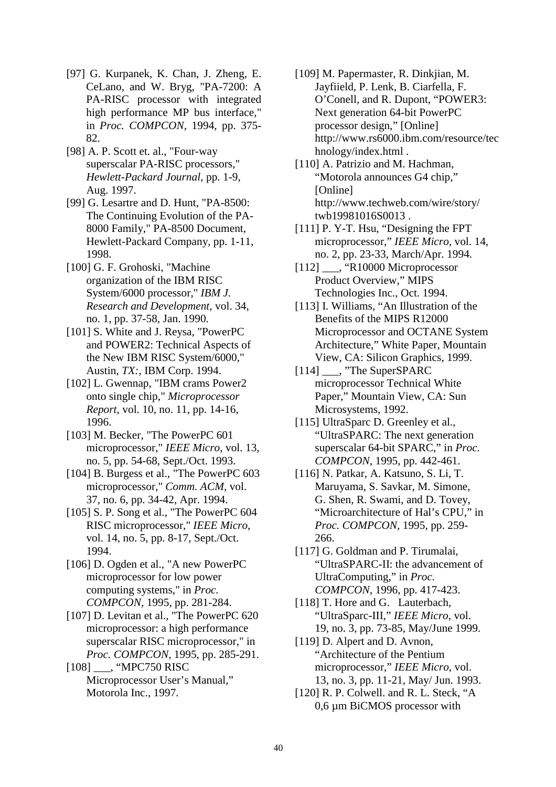- [97] G. Kurpanek, K. Chan, J. Zheng, E. CeLano, and W. Bryg, "PA-7200: A PA-RISC processor with integrated high performance MP bus interface," in *Proc. COMPCON,* 1994, pp. 375- 82.
- [98] A. P. Scott et. al., "Four-way superscalar PA-RISC processors," *Hewlett-Packard Journal*, pp. 1-9, Aug. 1997.
- [99] G. Lesartre and D. Hunt, "PA-8500: The Continuing Evolution of the PA-8000 Family," PA-8500 Document, Hewlett-Packard Company, pp. 1-11, 1998.
- [100] G. F. Grohoski, "Machine organization of the IBM RISC System/6000 processor," *IBM J. Research and Development*, vol. 34, no. 1, pp. 37-58, Jan. 1990.
- [101] S. White and J. Reysa, "PowerPC" and POWER2: Technical Aspects of the New IBM RISC System/6000," Austin, *TX:,* IBM Corp. 1994.
- [102] L. Gwennap, "IBM crams Power2 onto single chip," *Microprocessor Report*, vol. 10, no. 11, pp. 14-16, 1996.
- [103] M. Becker, "The PowerPC 601 microprocessor," *IEEE Micro*, vol. 13, no. 5, pp. 54-68, Sept./Oct. 1993.
- [104] B. Burgess et al., "The PowerPC 603 microprocessor," *Comm. ACM,* vol. 37, no. 6, pp. 34-42, Apr. 1994.
- [105] S. P. Song et al., "The PowerPC 604 RISC microprocessor," *IEEE Micro*, vol. 14, no. 5, pp. 8-17, Sept./Oct. 1994.
- [106] D. Ogden et al., "A new PowerPC microprocessor for low power computing systems," in *Proc. COMPCON,* 1995, pp. 281-284.
- [107] D. Levitan et al., "The PowerPC 620 microprocessor: a high performance superscalar RISC microprocessor," in *Proc. COMPCON,* 1995, pp. 285-291.
- [108] \_\_\_, "MPC750 RISC Microprocessor User's Manual," Motorola Inc., 1997.
- [109] M. Papermaster, R. Dinkjian, M. Jayfiield, P. Lenk, B. Ciarfella, F. O'Conell, and R. Dupont, "POWER3: Next generation 64-bit PowerPC processor design," [Online] http://www.rs6000.ibm.com/resource/tec hnology/index.html .
- [110] A. Patrizio and M. Hachman, "Motorola announces G4 chip," [Online] http://www.techweb.com/wire/story/ twb19981016S0013 .
- [111] P. Y-T. Hsu, "Designing the FPT microprocessor," *IEEE Micro*, vol. 14, no. 2, pp. 23-33, March/Apr. 1994.
- [112] \_\_\_, "R10000 Microprocessor Product Overview," MIPS Technologies Inc., Oct. 1994.
- [113] I. Williams, "An Illustration of the Benefits of the MIPS R12000 Microprocessor and OCTANE System Architecture," White Paper, Mountain View, CA: Silicon Graphics, 1999.
- [114] \_\_\_, "The SuperSPARC microprocessor Technical White Paper," Mountain View, CA: Sun Microsystems, 1992.
- [115] UltraSparc D. Greenley et al., "UltraSPARC: The next generation superscalar 64-bit SPARC," in *Proc. COMPCON,* 1995, pp. 442-461.
- [116] N. Patkar, A. Katsuno, S. Li, T. Maruyama, S. Savkar, M. Simone, G. Shen, R. Swami, and D. Tovey, "Microarchitecture of Hal's CPU," in *Proc. COMPCON,* 1995, pp. 259- 266.
- [117] G. Goldman and P. Tirumalai, "UltraSPARC-II: the advancement of UltraComputing," in *Proc. COMPCON,* 1996, pp. 417-423.
- [118] T. Hore and G. Lauterbach, "UltraSparc-III," *IEEE Micro*, vol. 19, no. 3, pp. 73-85, May/June 1999.
- [119] D. Alpert and D. Avnon, "Architecture of the Pentium microprocessor," *IEEE Micro*, vol. 13, no. 3, pp. 11-21, May/ Jun. 1993.
- [120] R. P. Colwell. and R. L. Steck, "A 0,6 µm BiCMOS processor with